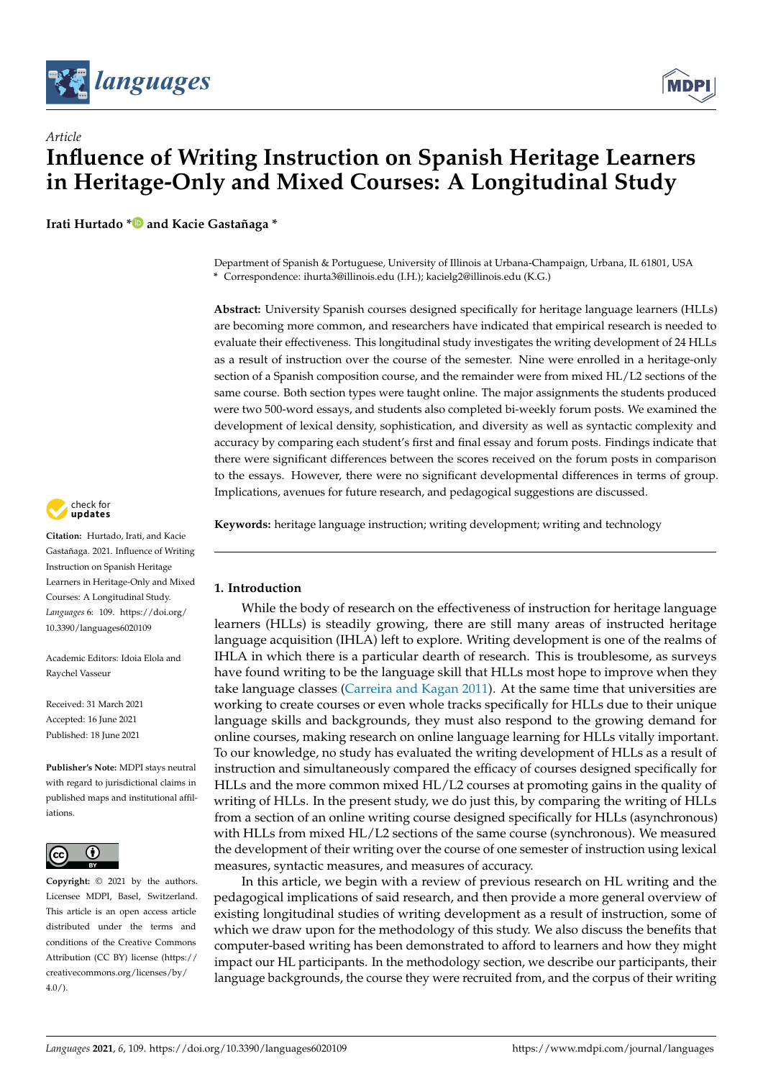

*Article*



# **Influence of Writing Instruction on Spanish Heritage Learners in Heritage-Only and Mixed Courses: A Longitudinal Study**

**Irati Hurtado [\\*](https://orcid.org/0000-0002-8529-7434) and Kacie Gastañaga \***

Department of Spanish & Portuguese, University of Illinois at Urbana-Champaign, Urbana, IL 61801, USA **\*** Correspondence: ihurta3@illinois.edu (I.H.); kacielg2@illinois.edu (K.G.)

**Abstract:** University Spanish courses designed specifically for heritage language learners (HLLs) are becoming more common, and researchers have indicated that empirical research is needed to evaluate their effectiveness. This longitudinal study investigates the writing development of 24 HLLs as a result of instruction over the course of the semester. Nine were enrolled in a heritage-only section of a Spanish composition course, and the remainder were from mixed HL/L2 sections of the same course. Both section types were taught online. The major assignments the students produced were two 500-word essays, and students also completed bi-weekly forum posts. We examined the development of lexical density, sophistication, and diversity as well as syntactic complexity and accuracy by comparing each student's first and final essay and forum posts. Findings indicate that there were significant differences between the scores received on the forum posts in comparison to the essays. However, there were no significant developmental differences in terms of group. Implications, avenues for future research, and pedagogical suggestions are discussed.

**Keywords:** heritage language instruction; writing development; writing and technology

# **1. Introduction**

While the body of research on the effectiveness of instruction for heritage language learners (HLLs) is steadily growing, there are still many areas of instructed heritage language acquisition (IHLA) left to explore. Writing development is one of the realms of IHLA in which there is a particular dearth of research. This is troublesome, as surveys have found writing to be the language skill that HLLs most hope to improve when they take language classes [\(Carreira and Kagan](#page-14-0) [2011\)](#page-14-0). At the same time that universities are working to create courses or even whole tracks specifically for HLLs due to their unique language skills and backgrounds, they must also respond to the growing demand for online courses, making research on online language learning for HLLs vitally important. To our knowledge, no study has evaluated the writing development of HLLs as a result of instruction and simultaneously compared the efficacy of courses designed specifically for HLLs and the more common mixed HL/L2 courses at promoting gains in the quality of writing of HLLs. In the present study, we do just this, by comparing the writing of HLLs from a section of an online writing course designed specifically for HLLs (asynchronous) with HLLs from mixed HL/L2 sections of the same course (synchronous). We measured the development of their writing over the course of one semester of instruction using lexical measures, syntactic measures, and measures of accuracy.

In this article, we begin with a review of previous research on HL writing and the pedagogical implications of said research, and then provide a more general overview of existing longitudinal studies of writing development as a result of instruction, some of which we draw upon for the methodology of this study. We also discuss the benefits that computer-based writing has been demonstrated to afford to learners and how they might impact our HL participants. In the methodology section, we describe our participants, their language backgrounds, the course they were recruited from, and the corpus of their writing



**Citation:** Hurtado, Irati, and Kacie Gastañaga. 2021. Influence of Writing Instruction on Spanish Heritage Learners in Heritage-Only and Mixed Courses: A Longitudinal Study. *Languages* 6: 109. [https://doi.org/](https://doi.org/10.3390/languages6020109) [10.3390/languages6020109](https://doi.org/10.3390/languages6020109)

Academic Editors: Idoia Elola and Raychel Vasseur

Received: 31 March 2021 Accepted: 16 June 2021 Published: 18 June 2021

**Publisher's Note:** MDPI stays neutral with regard to jurisdictional claims in published maps and institutional affiliations.



**Copyright:** © 2021 by the authors. Licensee MDPI, Basel, Switzerland. This article is an open access article distributed under the terms and conditions of the Creative Commons Attribution (CC BY) license (https:/[/](https://creativecommons.org/licenses/by/4.0/) [creativecommons.org/licenses/by/](https://creativecommons.org/licenses/by/4.0/)  $4.0/$ ).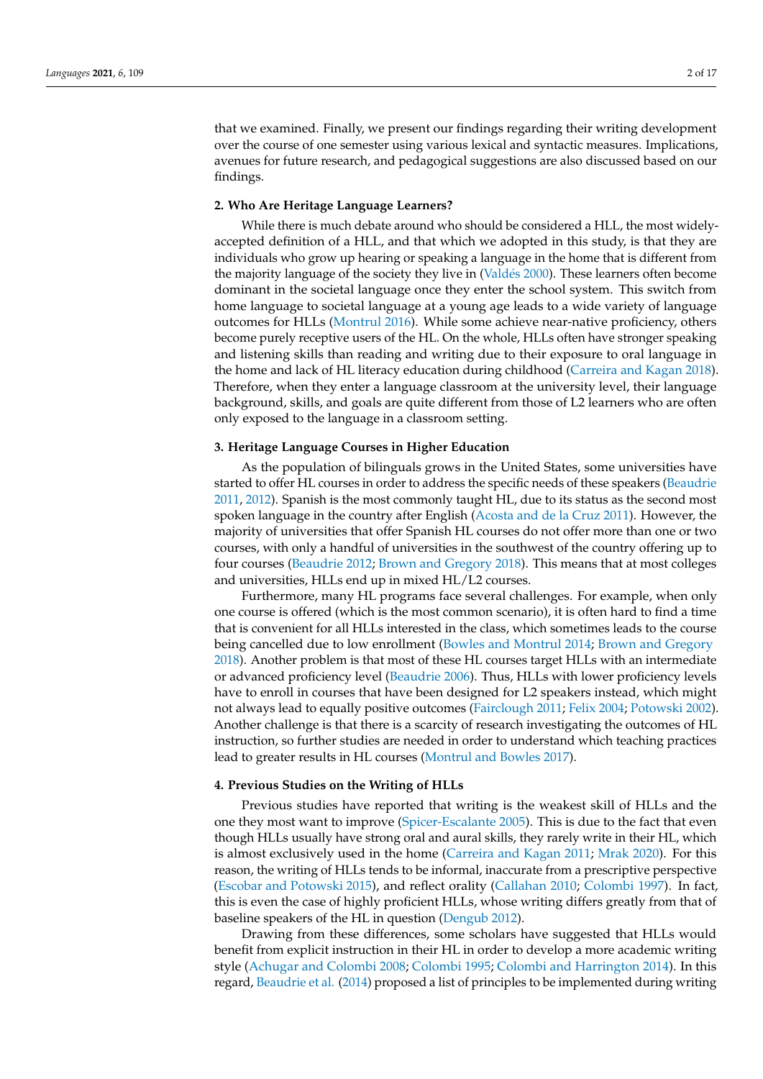that we examined. Finally, we present our findings regarding their writing development over the course of one semester using various lexical and syntactic measures. Implications, avenues for future research, and pedagogical suggestions are also discussed based on our findings.

# **2. Who Are Heritage Language Learners?**

While there is much debate around who should be considered a HLL, the most widelyaccepted definition of a HLL, and that which we adopted in this study, is that they are individuals who grow up hearing or speaking a language in the home that is different from the majority language of the society they live in [\(Vald](#page-16-0)és [2000\)](#page-16-0). These learners often become dominant in the societal language once they enter the school system. This switch from home language to societal language at a young age leads to a wide variety of language outcomes for HLLs [\(Montrul](#page-15-0) [2016\)](#page-15-0). While some achieve near-native proficiency, others become purely receptive users of the HL. On the whole, HLLs often have stronger speaking and listening skills than reading and writing due to their exposure to oral language in the home and lack of HL literacy education during childhood [\(Carreira and Kagan](#page-14-1) [2018\)](#page-14-1). Therefore, when they enter a language classroom at the university level, their language background, skills, and goals are quite different from those of L2 learners who are often only exposed to the language in a classroom setting.

### **3. Heritage Language Courses in Higher Education**

As the population of bilinguals grows in the United States, some universities have started to offer HL courses in order to address the specific needs of these speakers [\(Beaudrie](#page-13-0) [2011,](#page-13-0) [2012\)](#page-13-1). Spanish is the most commonly taught HL, due to its status as the second most spoken language in the country after English [\(Acosta and de la Cruz](#page-13-2) [2011\)](#page-13-2). However, the majority of universities that offer Spanish HL courses do not offer more than one or two courses, with only a handful of universities in the southwest of the country offering up to four courses [\(Beaudrie](#page-13-1) [2012;](#page-13-1) [Brown and Gregory](#page-14-2) [2018\)](#page-14-2). This means that at most colleges and universities, HLLs end up in mixed HL/L2 courses.

Furthermore, many HL programs face several challenges. For example, when only one course is offered (which is the most common scenario), it is often hard to find a time that is convenient for all HLLs interested in the class, which sometimes leads to the course being cancelled due to low enrollment [\(Bowles and Montrul](#page-14-3) [2014;](#page-14-3) [Brown and Gregory](#page-14-2) [2018\)](#page-14-2). Another problem is that most of these HL courses target HLLs with an intermediate or advanced proficiency level [\(Beaudrie](#page-13-3) [2006\)](#page-13-3). Thus, HLLs with lower proficiency levels have to enroll in courses that have been designed for L2 speakers instead, which might not always lead to equally positive outcomes [\(Fairclough](#page-14-4) [2011;](#page-14-4) [Felix](#page-14-5) [2004;](#page-14-5) [Potowski](#page-16-1) [2002\)](#page-16-1). Another challenge is that there is a scarcity of research investigating the outcomes of HL instruction, so further studies are needed in order to understand which teaching practices lead to greater results in HL courses [\(Montrul and Bowles](#page-15-1) [2017\)](#page-15-1).

### **4. Previous Studies on the Writing of HLLs**

Previous studies have reported that writing is the weakest skill of HLLs and the one they most want to improve [\(Spicer-Escalante](#page-16-2) [2005\)](#page-16-2). This is due to the fact that even though HLLs usually have strong oral and aural skills, they rarely write in their HL, which is almost exclusively used in the home [\(Carreira and Kagan](#page-14-0) [2011;](#page-14-0) [Mrak](#page-15-2) [2020\)](#page-15-2). For this reason, the writing of HLLs tends to be informal, inaccurate from a prescriptive perspective [\(Escobar and Potowski](#page-14-6) [2015\)](#page-14-6), and reflect orality [\(Callahan](#page-14-7) [2010;](#page-14-7) [Colombi](#page-14-8) [1997\)](#page-14-8). In fact, this is even the case of highly proficient HLLs, whose writing differs greatly from that of baseline speakers of the HL in question [\(Dengub](#page-14-9) [2012\)](#page-14-9).

Drawing from these differences, some scholars have suggested that HLLs would benefit from explicit instruction in their HL in order to develop a more academic writing style [\(Achugar and Colombi](#page-13-4) [2008;](#page-13-4) [Colombi](#page-14-10) [1995;](#page-14-10) [Colombi and Harrington](#page-14-11) [2014\)](#page-14-11). In this regard, [Beaudrie et al.](#page-13-5) [\(2014\)](#page-13-5) proposed a list of principles to be implemented during writing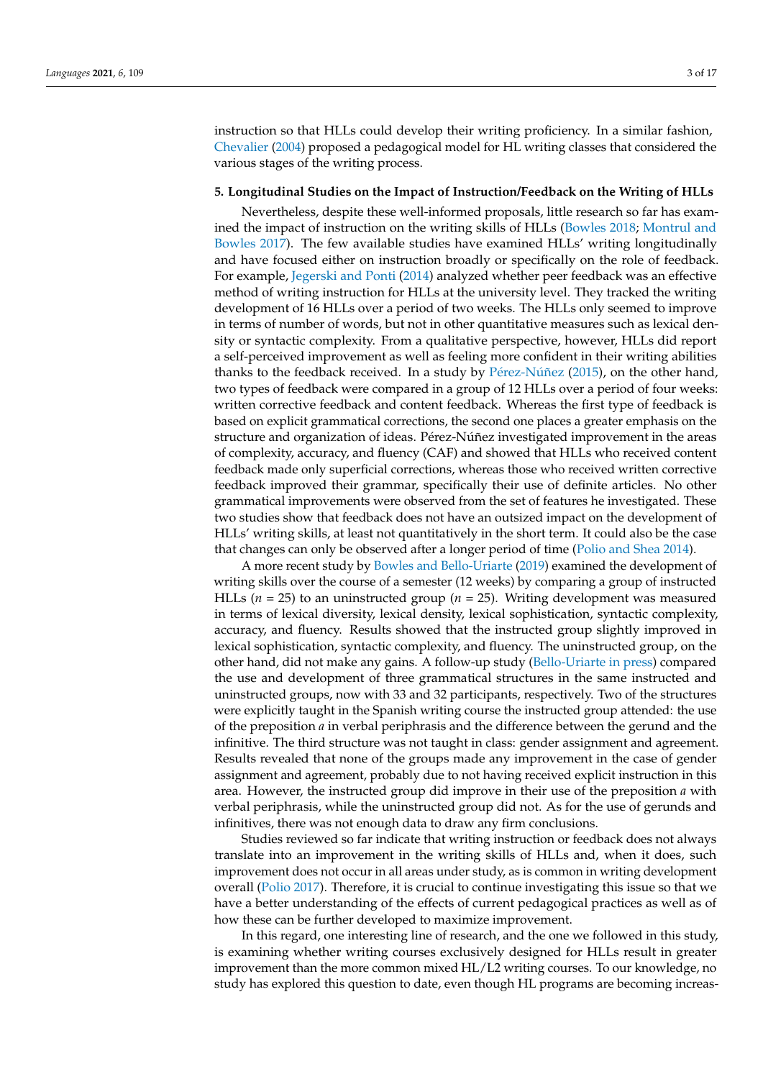instruction so that HLLs could develop their writing proficiency. In a similar fashion, [Chevalier](#page-14-12) [\(2004\)](#page-14-12) proposed a pedagogical model for HL writing classes that considered the various stages of the writing process.

# **5. Longitudinal Studies on the Impact of Instruction/Feedback on the Writing of HLLs**

Nevertheless, despite these well-informed proposals, little research so far has examined the impact of instruction on the writing skills of HLLs [\(Bowles](#page-14-13) [2018;](#page-14-13) [Montrul and](#page-15-1) [Bowles](#page-15-1) [2017\)](#page-15-1). The few available studies have examined HLLs' writing longitudinally and have focused either on instruction broadly or specifically on the role of feedback. For example, [Jegerski and Ponti](#page-15-3) [\(2014\)](#page-15-3) analyzed whether peer feedback was an effective method of writing instruction for HLLs at the university level. They tracked the writing development of 16 HLLs over a period of two weeks. The HLLs only seemed to improve in terms of number of words, but not in other quantitative measures such as lexical density or syntactic complexity. From a qualitative perspective, however, HLLs did report a self-perceived improvement as well as feeling more confident in their writing abilities thanks to the feedback received. In a study by Pé[rez-N](#page-15-4)úñez [\(2015\)](#page-15-4), on the other hand, two types of feedback were compared in a group of 12 HLLs over a period of four weeks: written corrective feedback and content feedback. Whereas the first type of feedback is based on explicit grammatical corrections, the second one places a greater emphasis on the structure and organization of ideas. Pérez-Núñez investigated improvement in the areas of complexity, accuracy, and fluency (CAF) and showed that HLLs who received content feedback made only superficial corrections, whereas those who received written corrective feedback improved their grammar, specifically their use of definite articles. No other grammatical improvements were observed from the set of features he investigated. These two studies show that feedback does not have an outsized impact on the development of HLLs' writing skills, at least not quantitatively in the short term. It could also be the case that changes can only be observed after a longer period of time [\(Polio and Shea](#page-15-5) [2014\)](#page-15-5).

A more recent study by [Bowles and Bello-Uriarte](#page-14-14) [\(2019\)](#page-14-14) examined the development of writing skills over the course of a semester (12 weeks) by comparing a group of instructed HLLs (*n* = 25) to an uninstructed group (*n* = 25). Writing development was measured in terms of lexical diversity, lexical density, lexical sophistication, syntactic complexity, accuracy, and fluency. Results showed that the instructed group slightly improved in lexical sophistication, syntactic complexity, and fluency. The uninstructed group, on the other hand, did not make any gains. A follow-up study [\(Bello-Uriarte](#page-14-15) [in press\)](#page-14-15) compared the use and development of three grammatical structures in the same instructed and uninstructed groups, now with 33 and 32 participants, respectively. Two of the structures were explicitly taught in the Spanish writing course the instructed group attended: the use of the preposition *a* in verbal periphrasis and the difference between the gerund and the infinitive. The third structure was not taught in class: gender assignment and agreement. Results revealed that none of the groups made any improvement in the case of gender assignment and agreement, probably due to not having received explicit instruction in this area. However, the instructed group did improve in their use of the preposition *a* with verbal periphrasis, while the uninstructed group did not. As for the use of gerunds and infinitives, there was not enough data to draw any firm conclusions.

Studies reviewed so far indicate that writing instruction or feedback does not always translate into an improvement in the writing skills of HLLs and, when it does, such improvement does not occur in all areas under study, as is common in writing development overall [\(Polio](#page-16-3) [2017\)](#page-16-3). Therefore, it is crucial to continue investigating this issue so that we have a better understanding of the effects of current pedagogical practices as well as of how these can be further developed to maximize improvement.

In this regard, one interesting line of research, and the one we followed in this study, is examining whether writing courses exclusively designed for HLLs result in greater improvement than the more common mixed HL/L2 writing courses. To our knowledge, no study has explored this question to date, even though HL programs are becoming increas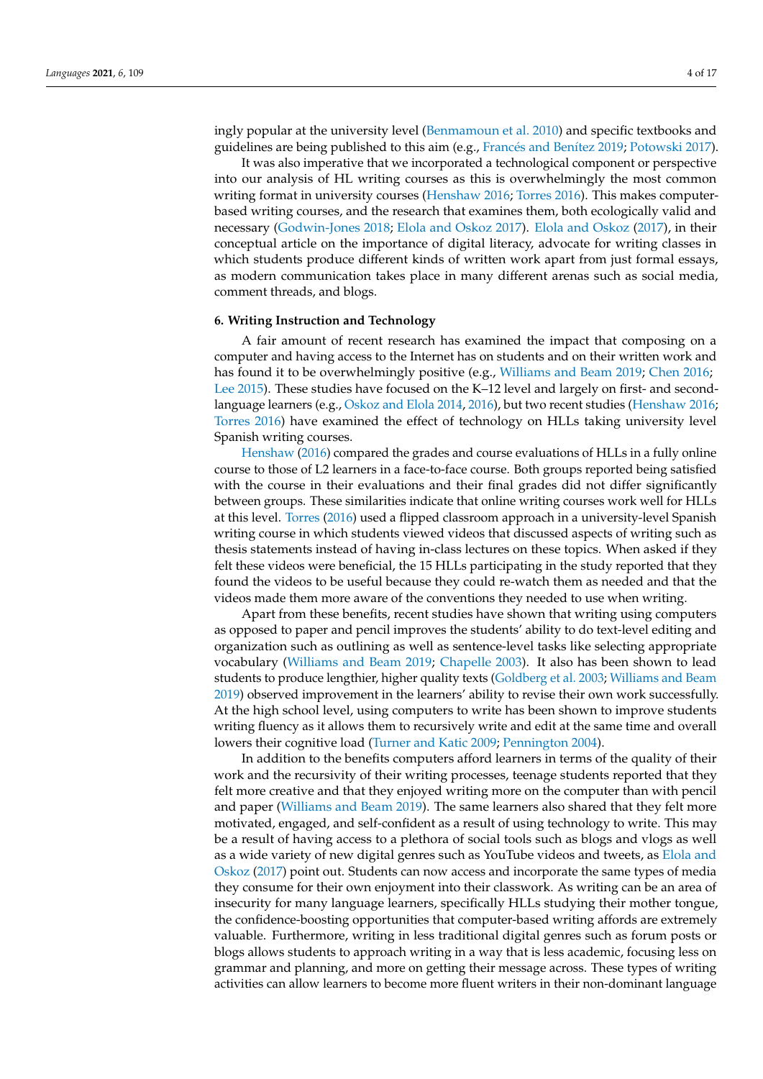ingly popular at the university level [\(Benmamoun et al.](#page-14-16) [2010\)](#page-14-16) and specific textbooks and

guidelines are being published to this aim (e.g., Francé[s and Ben](#page-14-17)ítez [2019;](#page-14-17) [Potowski](#page-16-4) [2017\)](#page-16-4). It was also imperative that we incorporated a technological component or perspective into our analysis of HL writing courses as this is overwhelmingly the most common writing format in university courses [\(Henshaw](#page-15-6) [2016;](#page-15-6) [Torres](#page-16-5) [2016\)](#page-16-5). This makes computerbased writing courses, and the research that examines them, both ecologically valid and necessary [\(Godwin-Jones](#page-14-18) [2018;](#page-14-18) [Elola and Oskoz](#page-14-19) [2017\)](#page-14-19). [Elola and Oskoz](#page-14-19) [\(2017\)](#page-14-19), in their conceptual article on the importance of digital literacy, advocate for writing classes in which students produce different kinds of written work apart from just formal essays, as modern communication takes place in many different arenas such as social media, comment threads, and blogs.

# **6. Writing Instruction and Technology**

A fair amount of recent research has examined the impact that composing on a computer and having access to the Internet has on students and on their written work and has found it to be overwhelmingly positive (e.g., [Williams and Beam](#page-16-6) [2019;](#page-16-6) [Chen](#page-14-20) [2016;](#page-14-20) [Lee](#page-15-7) [2015\)](#page-15-7). These studies have focused on the K–12 level and largely on first- and secondlanguage learners (e.g., [Oskoz and Elola](#page-15-8) [2014,](#page-15-8) [2016\)](#page-15-9), but two recent studies [\(Henshaw](#page-15-6) [2016;](#page-15-6) [Torres](#page-16-5) [2016\)](#page-16-5) have examined the effect of technology on HLLs taking university level Spanish writing courses.

[Henshaw](#page-15-6) [\(2016\)](#page-15-6) compared the grades and course evaluations of HLLs in a fully online course to those of L2 learners in a face-to-face course. Both groups reported being satisfied with the course in their evaluations and their final grades did not differ significantly between groups. These similarities indicate that online writing courses work well for HLLs at this level. [Torres](#page-16-5) [\(2016\)](#page-16-5) used a flipped classroom approach in a university-level Spanish writing course in which students viewed videos that discussed aspects of writing such as thesis statements instead of having in-class lectures on these topics. When asked if they felt these videos were beneficial, the 15 HLLs participating in the study reported that they found the videos to be useful because they could re-watch them as needed and that the videos made them more aware of the conventions they needed to use when writing.

Apart from these benefits, recent studies have shown that writing using computers as opposed to paper and pencil improves the students' ability to do text-level editing and organization such as outlining as well as sentence-level tasks like selecting appropriate vocabulary [\(Williams and Beam](#page-16-6) [2019;](#page-16-6) [Chapelle](#page-14-21) [2003\)](#page-14-21). It also has been shown to lead students to produce lengthier, higher quality texts [\(Goldberg et al.](#page-15-10) [2003;](#page-15-10) [Williams and Beam](#page-16-6) [2019\)](#page-16-6) observed improvement in the learners' ability to revise their own work successfully. At the high school level, using computers to write has been shown to improve students writing fluency as it allows them to recursively write and edit at the same time and overall lowers their cognitive load [\(Turner and Katic](#page-16-7) [2009;](#page-16-7) [Pennington](#page-15-11) [2004\)](#page-15-11).

In addition to the benefits computers afford learners in terms of the quality of their work and the recursivity of their writing processes, teenage students reported that they felt more creative and that they enjoyed writing more on the computer than with pencil and paper [\(Williams and Beam](#page-16-6) [2019\)](#page-16-6). The same learners also shared that they felt more motivated, engaged, and self-confident as a result of using technology to write. This may be a result of having access to a plethora of social tools such as blogs and vlogs as well as a wide variety of new digital genres such as YouTube videos and tweets, as [Elola and](#page-14-19) [Oskoz](#page-14-19) [\(2017\)](#page-14-19) point out. Students can now access and incorporate the same types of media they consume for their own enjoyment into their classwork. As writing can be an area of insecurity for many language learners, specifically HLLs studying their mother tongue, the confidence-boosting opportunities that computer-based writing affords are extremely valuable. Furthermore, writing in less traditional digital genres such as forum posts or blogs allows students to approach writing in a way that is less academic, focusing less on grammar and planning, and more on getting their message across. These types of writing activities can allow learners to become more fluent writers in their non-dominant language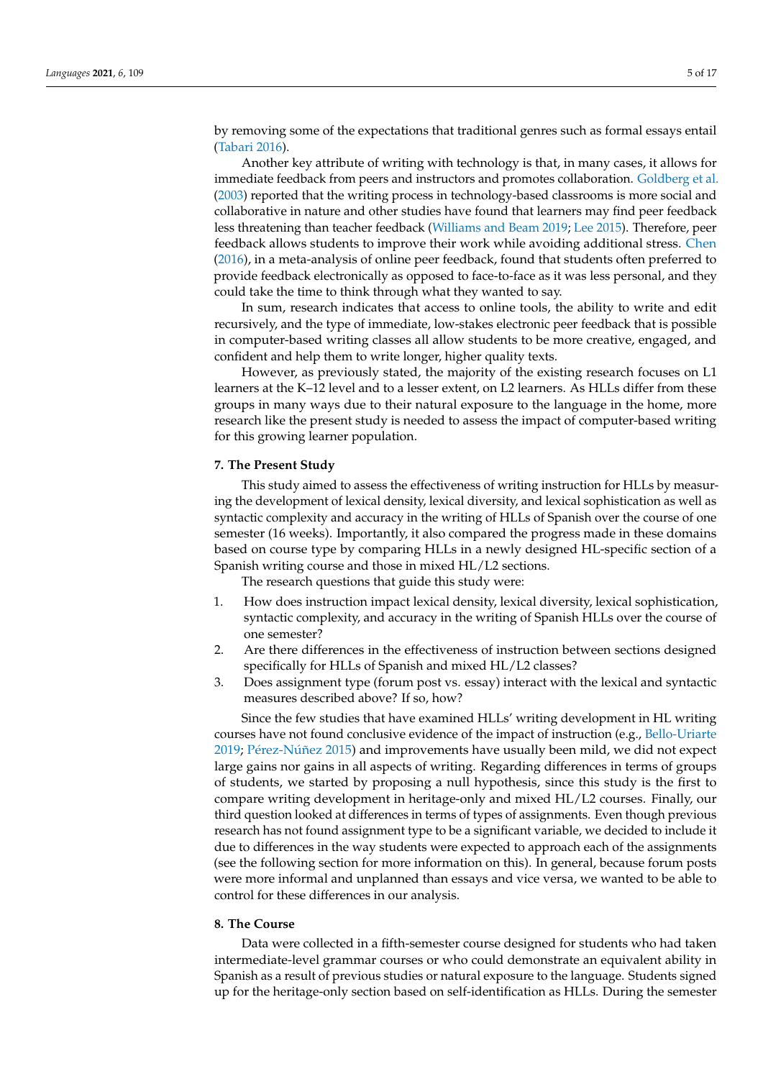by removing some of the expectations that traditional genres such as formal essays entail [\(Tabari](#page-16-8) [2016\)](#page-16-8).

Another key attribute of writing with technology is that, in many cases, it allows for immediate feedback from peers and instructors and promotes collaboration. [Goldberg et al.](#page-15-10) [\(2003\)](#page-15-10) reported that the writing process in technology-based classrooms is more social and collaborative in nature and other studies have found that learners may find peer feedback less threatening than teacher feedback [\(Williams and Beam](#page-16-6) [2019;](#page-16-6) [Lee](#page-15-7) [2015\)](#page-15-7). Therefore, peer feedback allows students to improve their work while avoiding additional stress. [Chen](#page-14-20) [\(2016\)](#page-14-20), in a meta-analysis of online peer feedback, found that students often preferred to provide feedback electronically as opposed to face-to-face as it was less personal, and they could take the time to think through what they wanted to say.

In sum, research indicates that access to online tools, the ability to write and edit recursively, and the type of immediate, low-stakes electronic peer feedback that is possible in computer-based writing classes all allow students to be more creative, engaged, and confident and help them to write longer, higher quality texts.

However, as previously stated, the majority of the existing research focuses on L1 learners at the K–12 level and to a lesser extent, on L2 learners. As HLLs differ from these groups in many ways due to their natural exposure to the language in the home, more research like the present study is needed to assess the impact of computer-based writing for this growing learner population.

### **7. The Present Study**

This study aimed to assess the effectiveness of writing instruction for HLLs by measuring the development of lexical density, lexical diversity, and lexical sophistication as well as syntactic complexity and accuracy in the writing of HLLs of Spanish over the course of one semester (16 weeks). Importantly, it also compared the progress made in these domains based on course type by comparing HLLs in a newly designed HL-specific section of a Spanish writing course and those in mixed HL/L2 sections.

The research questions that guide this study were:

- 1. How does instruction impact lexical density, lexical diversity, lexical sophistication, syntactic complexity, and accuracy in the writing of Spanish HLLs over the course of one semester?
- 2. Are there differences in the effectiveness of instruction between sections designed specifically for HLLs of Spanish and mixed HL/L2 classes?
- 3. Does assignment type (forum post vs. essay) interact with the lexical and syntactic measures described above? If so, how?

Since the few studies that have examined HLLs' writing development in HL writing courses have not found conclusive evidence of the impact of instruction (e.g., [Bello-Uriarte](#page-13-6) [2019;](#page-13-6) Pé[rez-N](#page-15-4)úñez [2015\)](#page-15-4) and improvements have usually been mild, we did not expect large gains nor gains in all aspects of writing. Regarding differences in terms of groups of students, we started by proposing a null hypothesis, since this study is the first to compare writing development in heritage-only and mixed HL/L2 courses. Finally, our third question looked at differences in terms of types of assignments. Even though previous research has not found assignment type to be a significant variable, we decided to include it due to differences in the way students were expected to approach each of the assignments (see the following section for more information on this). In general, because forum posts were more informal and unplanned than essays and vice versa, we wanted to be able to control for these differences in our analysis.

# **8. The Course**

Data were collected in a fifth-semester course designed for students who had taken intermediate-level grammar courses or who could demonstrate an equivalent ability in Spanish as a result of previous studies or natural exposure to the language. Students signed up for the heritage-only section based on self-identification as HLLs. During the semester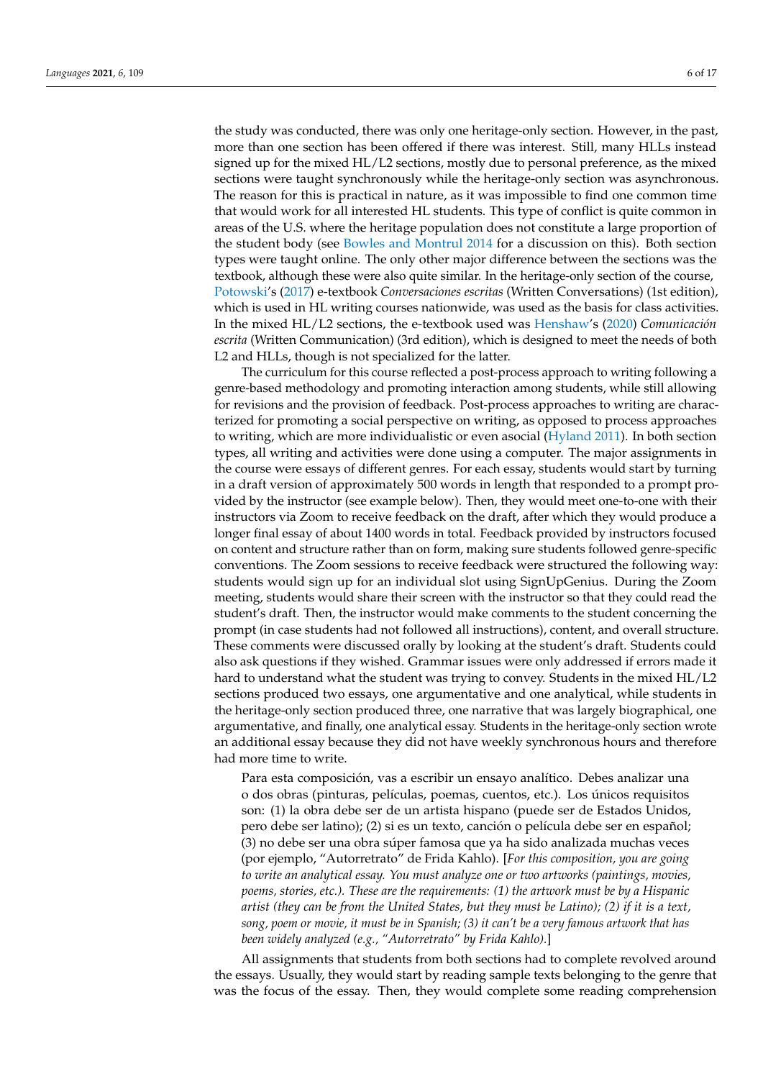the study was conducted, there was only one heritage-only section. However, in the past, more than one section has been offered if there was interest. Still, many HLLs instead signed up for the mixed HL/L2 sections, mostly due to personal preference, as the mixed sections were taught synchronously while the heritage-only section was asynchronous. The reason for this is practical in nature, as it was impossible to find one common time that would work for all interested HL students. This type of conflict is quite common in areas of the U.S. where the heritage population does not constitute a large proportion of the student body (see [Bowles and Montrul](#page-14-3) [2014](#page-14-3) for a discussion on this). Both section types were taught online. The only other major difference between the sections was the textbook, although these were also quite similar. In the heritage-only section of the course, [Potowski'](#page-16-4)s [\(2017\)](#page-16-4) e-textbook *Conversaciones escritas* (Written Conversations) (1st edition), which is used in HL writing courses nationwide, was used as the basis for class activities. In the mixed HL/L2 sections, the e-textbook used was [Henshaw'](#page-15-12)s [\(2020\)](#page-15-12) *Comunicación escrita* (Written Communication) (3rd edition), which is designed to meet the needs of both L2 and HLLs, though is not specialized for the latter.

The curriculum for this course reflected a post-process approach to writing following a genre-based methodology and promoting interaction among students, while still allowing for revisions and the provision of feedback. Post-process approaches to writing are characterized for promoting a social perspective on writing, as opposed to process approaches to writing, which are more individualistic or even asocial [\(Hyland](#page-15-13) [2011\)](#page-15-13). In both section types, all writing and activities were done using a computer. The major assignments in the course were essays of different genres. For each essay, students would start by turning in a draft version of approximately 500 words in length that responded to a prompt provided by the instructor (see example below). Then, they would meet one-to-one with their instructors via Zoom to receive feedback on the draft, after which they would produce a longer final essay of about 1400 words in total. Feedback provided by instructors focused on content and structure rather than on form, making sure students followed genre-specific conventions. The Zoom sessions to receive feedback were structured the following way: students would sign up for an individual slot using SignUpGenius. During the Zoom meeting, students would share their screen with the instructor so that they could read the student's draft. Then, the instructor would make comments to the student concerning the prompt (in case students had not followed all instructions), content, and overall structure. These comments were discussed orally by looking at the student's draft. Students could also ask questions if they wished. Grammar issues were only addressed if errors made it hard to understand what the student was trying to convey. Students in the mixed HL/L2 sections produced two essays, one argumentative and one analytical, while students in the heritage-only section produced three, one narrative that was largely biographical, one argumentative, and finally, one analytical essay. Students in the heritage-only section wrote an additional essay because they did not have weekly synchronous hours and therefore had more time to write.

Para esta composición, vas a escribir un ensayo analítico. Debes analizar una o dos obras (pinturas, películas, poemas, cuentos, etc.). Los únicos requisitos son: (1) la obra debe ser de un artista hispano (puede ser de Estados Unidos, pero debe ser latino); (2) si es un texto, canción o película debe ser en español; (3) no debe ser una obra súper famosa que ya ha sido analizada muchas veces (por ejemplo, "Autorretrato" de Frida Kahlo). [*For this composition, you are going to write an analytical essay. You must analyze one or two artworks (paintings, movies, poems, stories, etc.). These are the requirements: (1) the artwork must be by a Hispanic artist (they can be from the United States, but they must be Latino); (2) if it is a text, song, poem or movie, it must be in Spanish; (3) it can't be a very famous artwork that has been widely analyzed (e.g., "Autorretrato" by Frida Kahlo).*]

All assignments that students from both sections had to complete revolved around the essays. Usually, they would start by reading sample texts belonging to the genre that was the focus of the essay. Then, they would complete some reading comprehension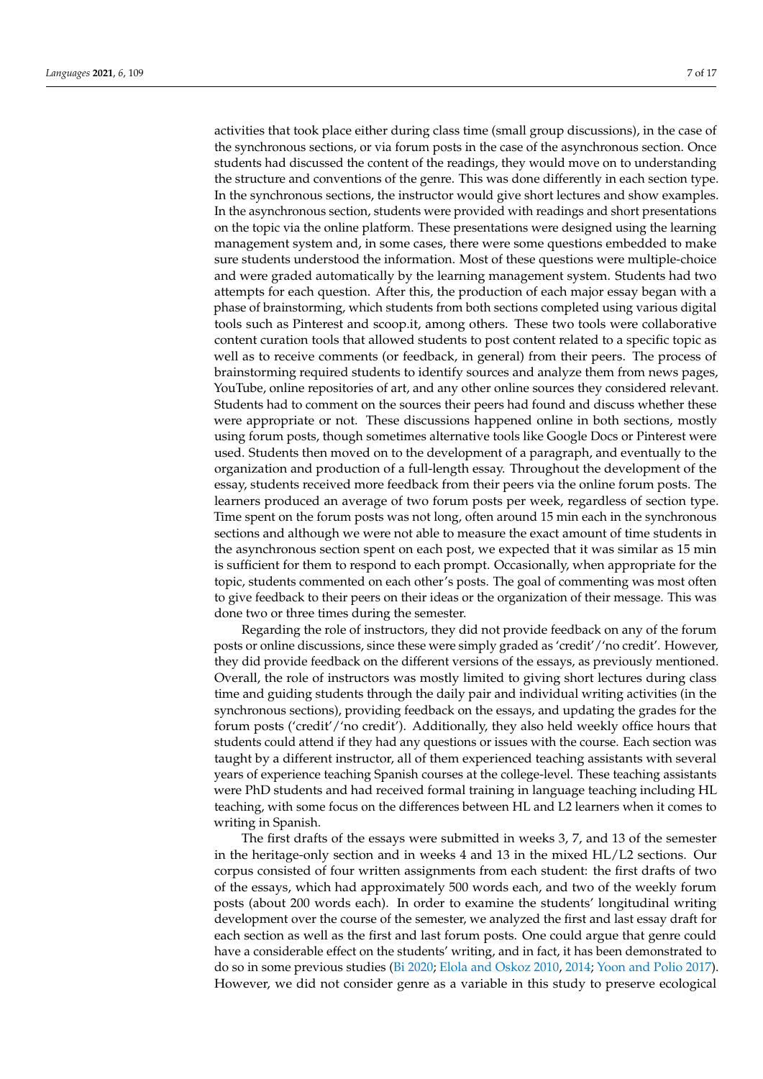activities that took place either during class time (small group discussions), in the case of the synchronous sections, or via forum posts in the case of the asynchronous section. Once students had discussed the content of the readings, they would move on to understanding the structure and conventions of the genre. This was done differently in each section type. In the synchronous sections, the instructor would give short lectures and show examples. In the asynchronous section, students were provided with readings and short presentations on the topic via the online platform. These presentations were designed using the learning management system and, in some cases, there were some questions embedded to make sure students understood the information. Most of these questions were multiple-choice and were graded automatically by the learning management system. Students had two attempts for each question. After this, the production of each major essay began with a phase of brainstorming, which students from both sections completed using various digital tools such as Pinterest and scoop.it, among others. These two tools were collaborative content curation tools that allowed students to post content related to a specific topic as well as to receive comments (or feedback, in general) from their peers. The process of brainstorming required students to identify sources and analyze them from news pages, YouTube, online repositories of art, and any other online sources they considered relevant. Students had to comment on the sources their peers had found and discuss whether these were appropriate or not. These discussions happened online in both sections, mostly using forum posts, though sometimes alternative tools like Google Docs or Pinterest were used. Students then moved on to the development of a paragraph, and eventually to the organization and production of a full-length essay. Throughout the development of the essay, students received more feedback from their peers via the online forum posts. The learners produced an average of two forum posts per week, regardless of section type. Time spent on the forum posts was not long, often around 15 min each in the synchronous sections and although we were not able to measure the exact amount of time students in the asynchronous section spent on each post, we expected that it was similar as 15 min is sufficient for them to respond to each prompt. Occasionally, when appropriate for the topic, students commented on each other's posts. The goal of commenting was most often to give feedback to their peers on their ideas or the organization of their message. This was done two or three times during the semester.

Regarding the role of instructors, they did not provide feedback on any of the forum posts or online discussions, since these were simply graded as 'credit'/'no credit'. However, they did provide feedback on the different versions of the essays, as previously mentioned. Overall, the role of instructors was mostly limited to giving short lectures during class time and guiding students through the daily pair and individual writing activities (in the synchronous sections), providing feedback on the essays, and updating the grades for the forum posts ('credit'/'no credit'). Additionally, they also held weekly office hours that students could attend if they had any questions or issues with the course. Each section was taught by a different instructor, all of them experienced teaching assistants with several years of experience teaching Spanish courses at the college-level. These teaching assistants were PhD students and had received formal training in language teaching including HL teaching, with some focus on the differences between HL and L2 learners when it comes to writing in Spanish.

The first drafts of the essays were submitted in weeks 3, 7, and 13 of the semester in the heritage-only section and in weeks 4 and 13 in the mixed HL/L2 sections. Our corpus consisted of four written assignments from each student: the first drafts of two of the essays, which had approximately 500 words each, and two of the weekly forum posts (about 200 words each). In order to examine the students' longitudinal writing development over the course of the semester, we analyzed the first and last essay draft for each section as well as the first and last forum posts. One could argue that genre could have a considerable effect on the students' writing, and in fact, it has been demonstrated to do so in some previous studies [\(Bi](#page-14-22) [2020;](#page-14-22) [Elola and Oskoz](#page-14-23) [2010,](#page-14-23) [2014;](#page-14-24) [Yoon and Polio](#page-16-9) [2017\)](#page-16-9). However, we did not consider genre as a variable in this study to preserve ecological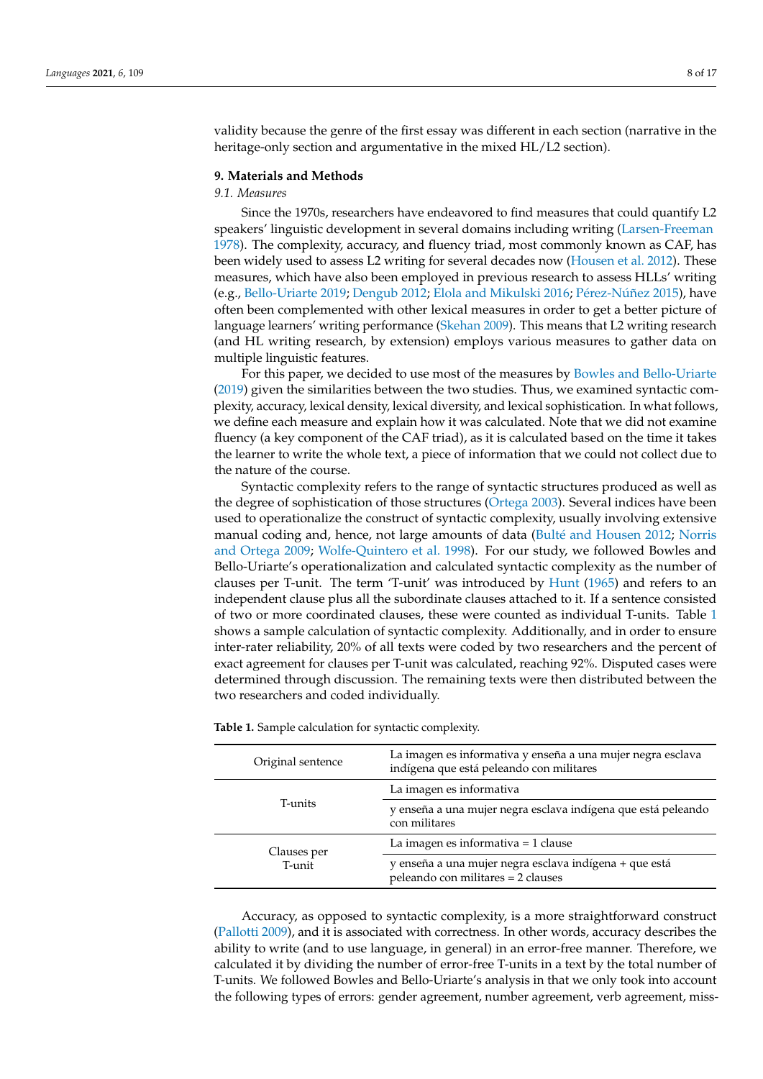validity because the genre of the first essay was different in each section (narrative in the heritage-only section and argumentative in the mixed HL/L2 section).

# **9. Materials and Methods**

# *9.1. Measures*

Since the 1970s, researchers have endeavored to find measures that could quantify L2 speakers' linguistic development in several domains including writing [\(Larsen-Freeman](#page-15-14) [1978\)](#page-15-14). The complexity, accuracy, and fluency triad, most commonly known as CAF, has been widely used to assess L2 writing for several decades now [\(Housen et al.](#page-15-15) [2012\)](#page-15-15). These measures, which have also been employed in previous research to assess HLLs' writing (e.g., [Bello-Uriarte](#page-13-6) [2019;](#page-13-6) [Dengub](#page-14-9) [2012;](#page-14-9) [Elola and Mikulski](#page-14-25) [2016;](#page-14-25) Pé[rez-N](#page-15-4)úñez [2015\)](#page-15-4), have often been complemented with other lexical measures in order to get a better picture of language learners' writing performance [\(Skehan](#page-16-10) [2009\)](#page-16-10). This means that L2 writing research (and HL writing research, by extension) employs various measures to gather data on multiple linguistic features.

For this paper, we decided to use most of the measures by [Bowles and Bello-Uriarte](#page-14-14) [\(2019\)](#page-14-14) given the similarities between the two studies. Thus, we examined syntactic complexity, accuracy, lexical density, lexical diversity, and lexical sophistication. In what follows, we define each measure and explain how it was calculated. Note that we did not examine fluency (a key component of the CAF triad), as it is calculated based on the time it takes the learner to write the whole text, a piece of information that we could not collect due to the nature of the course.

Syntactic complexity refers to the range of syntactic structures produced as well as the degree of sophistication of those structures [\(Ortega](#page-15-16) [2003\)](#page-15-16). Several indices have been used to operationalize the construct of syntactic complexity, usually involving extensive manual coding and, hence, not large amounts of data (Bulté [and Housen](#page-14-26) [2012;](#page-14-26) [Norris](#page-15-17) [and Ortega](#page-15-17) [2009;](#page-15-17) [Wolfe-Quintero et al.](#page-16-11) [1998\)](#page-16-11). For our study, we followed Bowles and Bello-Uriarte's operationalization and calculated syntactic complexity as the number of clauses per T-unit. The term 'T-unit' was introduced by [Hunt](#page-15-18) [\(1965\)](#page-15-18) and refers to an independent clause plus all the subordinate clauses attached to it. If a sentence consisted of two or more coordinated clauses, these were counted as individual T-units. Table [1](#page-7-0) shows a sample calculation of syntactic complexity. Additionally, and in order to ensure inter-rater reliability, 20% of all texts were coded by two researchers and the percent of exact agreement for clauses per T-unit was calculated, reaching 92%. Disputed cases were determined through discussion. The remaining texts were then distributed between the two researchers and coded individually.

| Original sentence     | La imagen es informativa y enseña a una mujer negra esclava<br>indígena que está peleando con militares |  |  |  |
|-----------------------|---------------------------------------------------------------------------------------------------------|--|--|--|
| T-units               | La imagen es informativa                                                                                |  |  |  |
|                       | y enseña a una mujer negra esclava indígena que está peleando<br>con militares                          |  |  |  |
| Clauses per<br>T-unit | La imagen es informativa $=$ 1 clause                                                                   |  |  |  |
|                       | y enseña a una mujer negra esclava indígena + que está<br>peleando con militares = 2 clauses            |  |  |  |

<span id="page-7-0"></span>**Table 1.** Sample calculation for syntactic complexity.

Accuracy, as opposed to syntactic complexity, is a more straightforward construct [\(Pallotti](#page-15-19) [2009\)](#page-15-19), and it is associated with correctness. In other words, accuracy describes the ability to write (and to use language, in general) in an error-free manner. Therefore, we calculated it by dividing the number of error-free T-units in a text by the total number of T-units. We followed Bowles and Bello-Uriarte's analysis in that we only took into account the following types of errors: gender agreement, number agreement, verb agreement, miss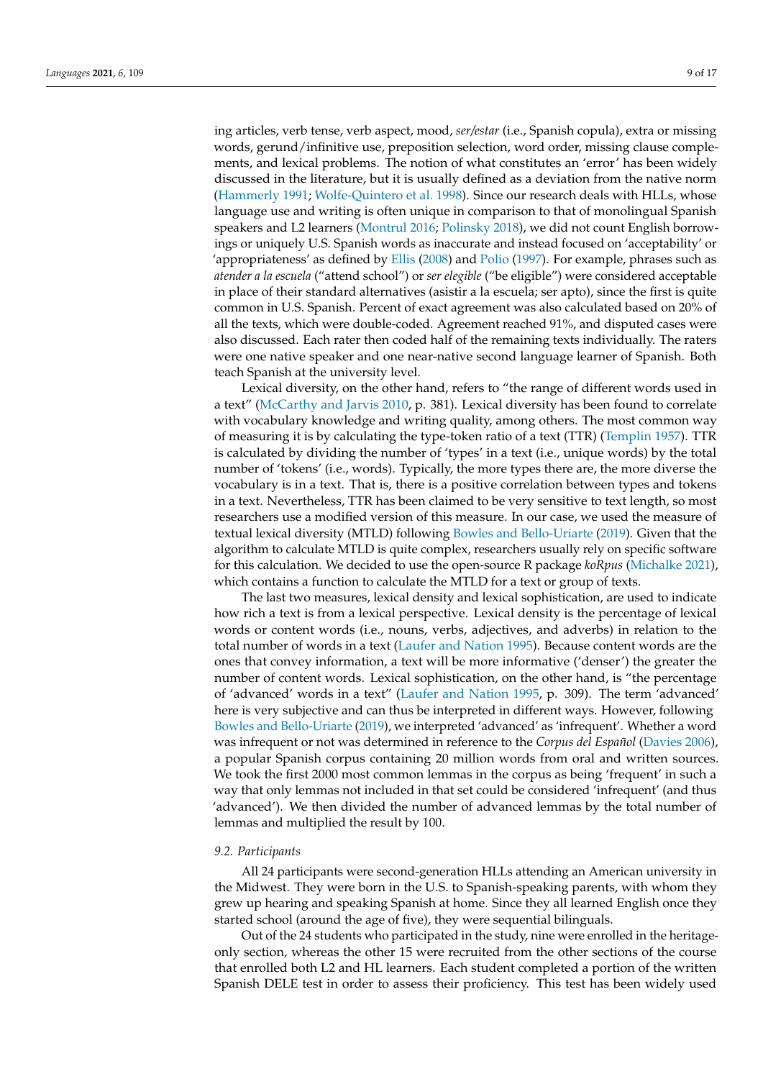ing articles, verb tense, verb aspect, mood, *ser/estar* (i.e., Spanish copula), extra or missing words, gerund/infinitive use, preposition selection, word order, missing clause complements, and lexical problems. The notion of what constitutes an 'error' has been widely discussed in the literature, but it is usually defined as a deviation from the native norm [\(Hammerly](#page-15-20) [1991;](#page-15-20) [Wolfe-Quintero et al.](#page-16-11) [1998\)](#page-16-11). Since our research deals with HLLs, whose language use and writing is often unique in comparison to that of monolingual Spanish speakers and L2 learners [\(Montrul](#page-15-0) [2016;](#page-15-0) [Polinsky](#page-15-21) [2018\)](#page-15-21), we did not count English borrowings or uniquely U.S. Spanish words as inaccurate and instead focused on 'acceptability' or 'appropriateness' as defined by [Ellis](#page-14-27) [\(2008\)](#page-14-27) and [Polio](#page-15-22) [\(1997\)](#page-15-22). For example, phrases such as *atender a la escuela* ("attend school") or *ser elegible* ("be eligible") were considered acceptable in place of their standard alternatives (asistir a la escuela; ser apto), since the first is quite common in U.S. Spanish. Percent of exact agreement was also calculated based on 20% of all the texts, which were double-coded. Agreement reached 91%, and disputed cases were also discussed. Each rater then coded half of the remaining texts individually. The raters were one native speaker and one near-native second language learner of Spanish. Both teach Spanish at the university level.

Lexical diversity, on the other hand, refers to "the range of different words used in a text" [\(McCarthy and Jarvis](#page-15-23) [2010,](#page-15-23) p. 381). Lexical diversity has been found to correlate with vocabulary knowledge and writing quality, among others. The most common way of measuring it is by calculating the type-token ratio of a text (TTR) [\(Templin](#page-16-12) [1957\)](#page-16-12). TTR is calculated by dividing the number of 'types' in a text (i.e., unique words) by the total number of 'tokens' (i.e., words). Typically, the more types there are, the more diverse the vocabulary is in a text. That is, there is a positive correlation between types and tokens in a text. Nevertheless, TTR has been claimed to be very sensitive to text length, so most researchers use a modified version of this measure. In our case, we used the measure of textual lexical diversity (MTLD) following [Bowles and Bello-Uriarte](#page-14-14) [\(2019\)](#page-14-14). Given that the algorithm to calculate MTLD is quite complex, researchers usually rely on specific software for this calculation. We decided to use the open-source R package *koRpus* [\(Michalke](#page-15-24) [2021\)](#page-15-24), which contains a function to calculate the MTLD for a text or group of texts.

The last two measures, lexical density and lexical sophistication, are used to indicate how rich a text is from a lexical perspective. Lexical density is the percentage of lexical words or content words (i.e., nouns, verbs, adjectives, and adverbs) in relation to the total number of words in a text [\(Laufer and Nation](#page-15-25) [1995\)](#page-15-25). Because content words are the ones that convey information, a text will be more informative ('denser') the greater the number of content words. Lexical sophistication, on the other hand, is "the percentage of 'advanced' words in a text" [\(Laufer and Nation](#page-15-25) [1995,](#page-15-25) p. 309). The term 'advanced' here is very subjective and can thus be interpreted in different ways. However, following [Bowles and Bello-Uriarte](#page-14-14) [\(2019\)](#page-14-14), we interpreted 'advanced' as 'infrequent'. Whether a word was infrequent or not was determined in reference to the *Corpus del Español* [\(Davies](#page-14-28) [2006\)](#page-14-28), a popular Spanish corpus containing 20 million words from oral and written sources. We took the first 2000 most common lemmas in the corpus as being 'frequent' in such a way that only lemmas not included in that set could be considered 'infrequent' (and thus 'advanced'). We then divided the number of advanced lemmas by the total number of lemmas and multiplied the result by 100.

# *9.2. Participants*

All 24 participants were second-generation HLLs attending an American university in the Midwest. They were born in the U.S. to Spanish-speaking parents, with whom they grew up hearing and speaking Spanish at home. Since they all learned English once they started school (around the age of five), they were sequential bilinguals.

Out of the 24 students who participated in the study, nine were enrolled in the heritageonly section, whereas the other 15 were recruited from the other sections of the course that enrolled both L2 and HL learners. Each student completed a portion of the written Spanish DELE test in order to assess their proficiency. This test has been widely used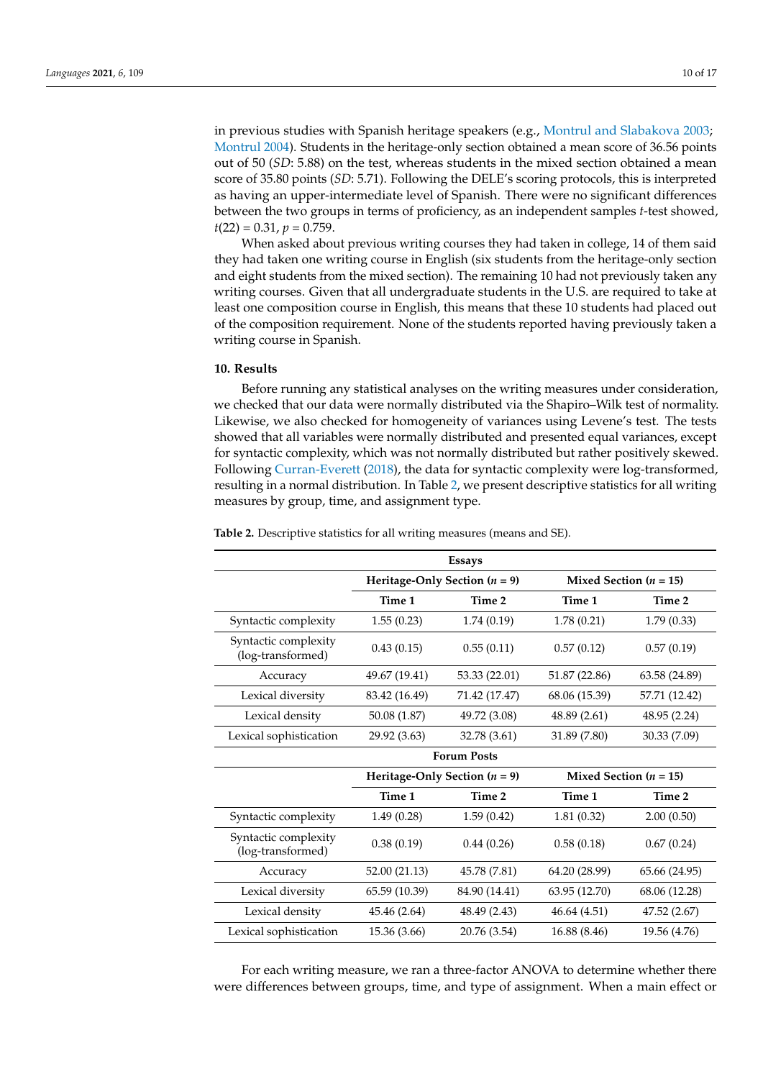in previous studies with Spanish heritage speakers (e.g., [Montrul and Slabakova](#page-15-26) [2003;](#page-15-26) [Montrul](#page-15-27) [2004\)](#page-15-27). Students in the heritage-only section obtained a mean score of 36.56 points out of 50 (*SD*: 5.88) on the test, whereas students in the mixed section obtained a mean score of 35.80 points (*SD*: 5.71). Following the DELE's scoring protocols, this is interpreted as having an upper-intermediate level of Spanish. There were no significant differences between the two groups in terms of proficiency, as an independent samples *t*-test showed,  $t(22) = 0.31, p = 0.759.$ 

When asked about previous writing courses they had taken in college, 14 of them said they had taken one writing course in English (six students from the heritage-only section and eight students from the mixed section). The remaining 10 had not previously taken any writing courses. Given that all undergraduate students in the U.S. are required to take at least one composition course in English, this means that these 10 students had placed out of the composition requirement. None of the students reported having previously taken a writing course in Spanish.

#### **10. Results**

Before running any statistical analyses on the writing measures under consideration, we checked that our data were normally distributed via the Shapiro–Wilk test of normality. Likewise, we also checked for homogeneity of variances using Levene's test. The tests showed that all variables were normally distributed and presented equal variances, except for syntactic complexity, which was not normally distributed but rather positively skewed. Following [Curran-Everett](#page-14-29) [\(2018\)](#page-14-29), the data for syntactic complexity were log-transformed, resulting in a normal distribution. In Table [2,](#page-9-0) we present descriptive statistics for all writing measures by group, time, and assignment type.

| <b>Essays</b>                             |                                 |                                 |                            |                          |  |  |
|-------------------------------------------|---------------------------------|---------------------------------|----------------------------|--------------------------|--|--|
|                                           | Heritage-Only Section $(n = 9)$ |                                 | Mixed Section ( $n = 15$ ) |                          |  |  |
|                                           | Time 1                          | Time 2                          | Time 1                     | Time 2                   |  |  |
| Syntactic complexity                      | 1.55(0.23)                      | 1.74(0.19)                      | 1.78(0.21)                 | 1.79(0.33)               |  |  |
| Syntactic complexity<br>(log-transformed) | 0.43(0.15)                      | 0.55(0.11)                      | 0.57(0.12)                 | 0.57(0.19)               |  |  |
| Accuracy                                  | 49.67 (19.41)                   | 53.33 (22.01)                   | 51.87 (22.86)              | 63.58 (24.89)            |  |  |
| Lexical diversity                         | 83.42 (16.49)                   | 71.42 (17.47)                   | 68.06 (15.39)              | 57.71 (12.42)            |  |  |
| Lexical density                           | 50.08 (1.87)                    | 49.72 (3.08)                    | 48.89 (2.61)               | 48.95 (2.24)             |  |  |
| Lexical sophistication                    | 29.92 (3.63)                    | 32.78 (3.61)                    | 31.89 (7.80)               | 30.33 (7.09)             |  |  |
|                                           | <b>Forum Posts</b>              |                                 |                            |                          |  |  |
|                                           |                                 | Heritage-Only Section $(n = 9)$ |                            | Mixed Section $(n = 15)$ |  |  |
|                                           | Time 1                          | Time 2                          | Time 1                     | Time 2                   |  |  |
| Syntactic complexity                      | 1.49(0.28)                      | 1.59(0.42)                      | 1.81(0.32)                 | 2.00(0.50)               |  |  |
| Syntactic complexity<br>(log-transformed) | 0.38(0.19)                      | 0.44(0.26)                      | 0.58(0.18)                 | 0.67(0.24)               |  |  |
| Accuracy                                  | 52.00 (21.13)                   | 45.78 (7.81)                    | 64.20 (28.99)              | 65.66 (24.95)            |  |  |
| Lexical diversity                         | 65.59 (10.39)                   | 84.90 (14.41)                   | 63.95 (12.70)              | 68.06 (12.28)            |  |  |
| Lexical density                           | 45.46 (2.64)                    | 48.49 (2.43)                    | 46.64 (4.51)               | 47.52 (2.67)             |  |  |
| Lexical sophistication                    | 15.36 (3.66)                    | 20.76 (3.54)                    | 16.88 (8.46)               | 19.56 (4.76)             |  |  |

<span id="page-9-0"></span>**Table 2.** Descriptive statistics for all writing measures (means and SE).

For each writing measure, we ran a three-factor ANOVA to determine whether there were differences between groups, time, and type of assignment. When a main effect or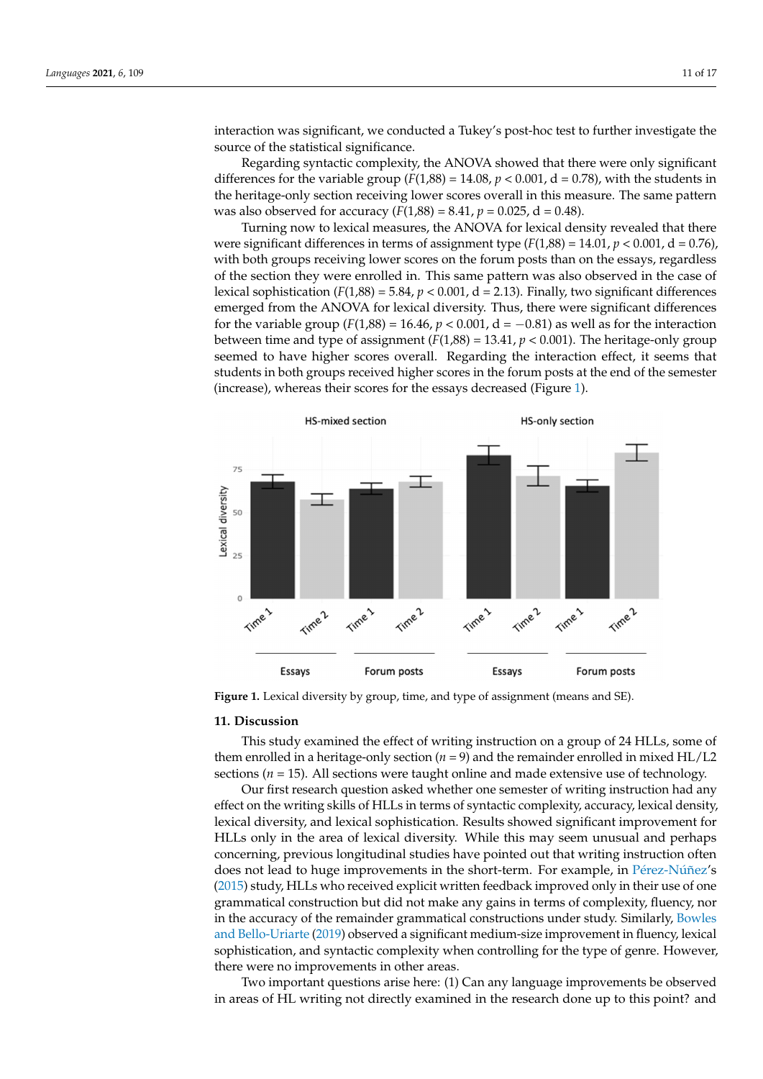interaction was significant, we conducted a Tukey's post-hoc test to further investigate the source of the statistical significance. interaction was significant, we conducted a Tukey's post-hoc test to further investigate meracuon was significant, we conducte  $\mathbf{c}_{\mathbf{c}}$  or the Statistical significance.

For each writing measure, we range the contribution measure, we range there are  $\mathcal{A}^{\text{max}}$ 

Regarding syntactic complexity, the ANOVA showed that there were only significant differences for the variable group  $(F(1,88) = 14.08, p < 0.001, d = 0.78)$ , with the students in the heritage-only section receiving lower scores overall in this measure. The same pattern<br> $\frac{1}{2}$ was also observed for accuracy  $(F(1,88) = 8.41, p = 0.025, d = 0.48)$ . differences for the variable group (*F(1,88)* and *F(1,88)* and *p* = 0.000 signals in the students in the students in the students in the students in the students in the students in the students in the students in the stu

Turning now to lexical measures, the ANOVA for lexical density revealed that there were significant differences in terms of assignment type  $(F(1,88) = 14.01, p < 0.001, d = 0.76)$ , with both groups receiving lower scores on the forum posts than on the essays, regardless with both groups receiving lower scores on the forum posts than on the essays, regardless of the section they were enrolled in. This same pattern was also observed in the case of lexical sophistication  $(F(1,88) = 5.84, p < 0.001, d = 2.13)$ . Finally, two significant differences emerged from the ANOVA for lexical diversity. Thus, there were significant differences emerged from the ANOVA for lexical diversity. Thus, there were significant differences for the variable group  $(F(1,88) = 16.46, p < 0.001, d = -0.81)$  as well as for the interaction between time and type of assignment  $(F(1,88) = 13.41, p < 0.001)$ . The heritage-only group seemed to have higher scores overall. Regarding the interaction effect, it seems that students in both groups received higher scores in the forum posts at the end of the semester (increase), whereas their scores for the essays decreased (Figure [1\)](#page-10-0). we have significant differences in the significant terms of a *F*( $\alpha$ <sub>1,88</sub>) = 14.01, *p* = 0.001, *p* = 0.76

<span id="page-10-0"></span>

**Figure 1.** Lexical diversity by group, time, and type of assignment (means and SE). **Figure 1.** Lexical diversity by group, time, and type of assignment (means and SE).

### **11. Discussion**

This study examined the effect of writing instruction on a group of 24 HLLs, some of them enrolled in a heritage-only section  $(n = 9)$  and the remainder enrolled in mixed HL/L2 sections ( $n = 15$ ). All sections were taught online and made extensive use of technology.

Our first research question asked whether one semester of writing instruction had any effect on the writing skills of HLLs in terms of syntactic complexity, accuracy, lexical density, lexical diversity, and lexical sophistication. Results showed significant improvement for HLLs only in the area of lexical diversity. While this may seem unusual and perhaps concerning, previous longitudinal studies have pointed out that writing instruction often does not lead to huge improvements in the short-term. For example, in Pé[rez-N](#page-15-4)úñez's [\(2015\)](#page-15-4) study, HLLs who received explicit written feedback improved only in their use of one grammatical construction but did not make any gains in terms of complexity, fluency, nor in the accuracy of the remainder grammatical constructions under study. Similarly, [Bowles](#page-14-14) [and Bello-Uriarte](#page-14-14) [\(2019\)](#page-14-14) observed a significant medium-size improvement in fluency, lexical sophistication, and syntactic complexity when controlling for the type of genre. However, there were no improvements in other areas.

Two important questions arise here: (1) Can any language improvements be observed in areas of HL writing not directly examined in the research done up to this point? and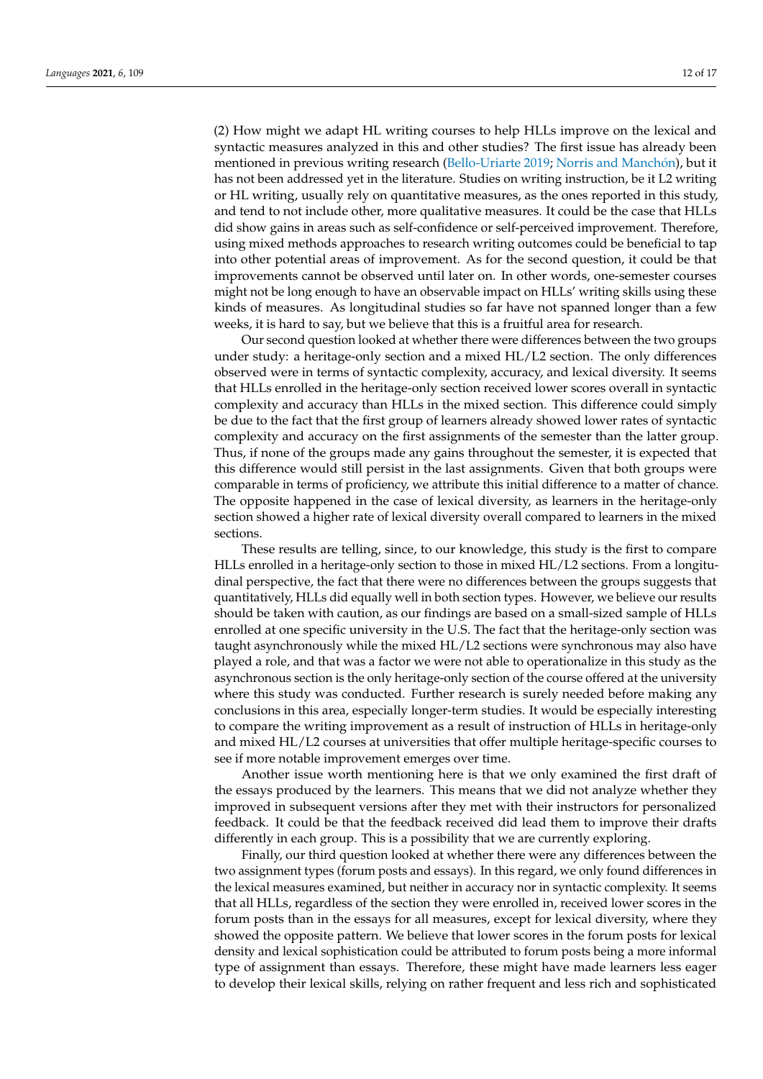(2) How might we adapt HL writing courses to help HLLs improve on the lexical and syntactic measures analyzed in this and other studies? The first issue has already been mentioned in previous writing research [\(Bello-Uriarte](#page-13-6) [2019;](#page-13-6) [Norris and Manch](#page-15-28)ón), but it has not been addressed yet in the literature. Studies on writing instruction, be it L2 writing or HL writing, usually rely on quantitative measures, as the ones reported in this study, and tend to not include other, more qualitative measures. It could be the case that HLLs did show gains in areas such as self-confidence or self-perceived improvement. Therefore, using mixed methods approaches to research writing outcomes could be beneficial to tap into other potential areas of improvement. As for the second question, it could be that improvements cannot be observed until later on. In other words, one-semester courses might not be long enough to have an observable impact on HLLs' writing skills using these kinds of measures. As longitudinal studies so far have not spanned longer than a few weeks, it is hard to say, but we believe that this is a fruitful area for research.

Our second question looked at whether there were differences between the two groups under study: a heritage-only section and a mixed HL/L2 section. The only differences observed were in terms of syntactic complexity, accuracy, and lexical diversity. It seems that HLLs enrolled in the heritage-only section received lower scores overall in syntactic complexity and accuracy than HLLs in the mixed section. This difference could simply be due to the fact that the first group of learners already showed lower rates of syntactic complexity and accuracy on the first assignments of the semester than the latter group. Thus, if none of the groups made any gains throughout the semester, it is expected that this difference would still persist in the last assignments. Given that both groups were comparable in terms of proficiency, we attribute this initial difference to a matter of chance. The opposite happened in the case of lexical diversity, as learners in the heritage-only section showed a higher rate of lexical diversity overall compared to learners in the mixed sections.

These results are telling, since, to our knowledge, this study is the first to compare HLLs enrolled in a heritage-only section to those in mixed HL/L2 sections. From a longitudinal perspective, the fact that there were no differences between the groups suggests that quantitatively, HLLs did equally well in both section types. However, we believe our results should be taken with caution, as our findings are based on a small-sized sample of HLLs enrolled at one specific university in the U.S. The fact that the heritage-only section was taught asynchronously while the mixed HL/L2 sections were synchronous may also have played a role, and that was a factor we were not able to operationalize in this study as the asynchronous section is the only heritage-only section of the course offered at the university where this study was conducted. Further research is surely needed before making any conclusions in this area, especially longer-term studies. It would be especially interesting to compare the writing improvement as a result of instruction of HLLs in heritage-only and mixed HL/L2 courses at universities that offer multiple heritage-specific courses to see if more notable improvement emerges over time.

Another issue worth mentioning here is that we only examined the first draft of the essays produced by the learners. This means that we did not analyze whether they improved in subsequent versions after they met with their instructors for personalized feedback. It could be that the feedback received did lead them to improve their drafts differently in each group. This is a possibility that we are currently exploring.

Finally, our third question looked at whether there were any differences between the two assignment types (forum posts and essays). In this regard, we only found differences in the lexical measures examined, but neither in accuracy nor in syntactic complexity. It seems that all HLLs, regardless of the section they were enrolled in, received lower scores in the forum posts than in the essays for all measures, except for lexical diversity, where they showed the opposite pattern. We believe that lower scores in the forum posts for lexical density and lexical sophistication could be attributed to forum posts being a more informal type of assignment than essays. Therefore, these might have made learners less eager to develop their lexical skills, relying on rather frequent and less rich and sophisticated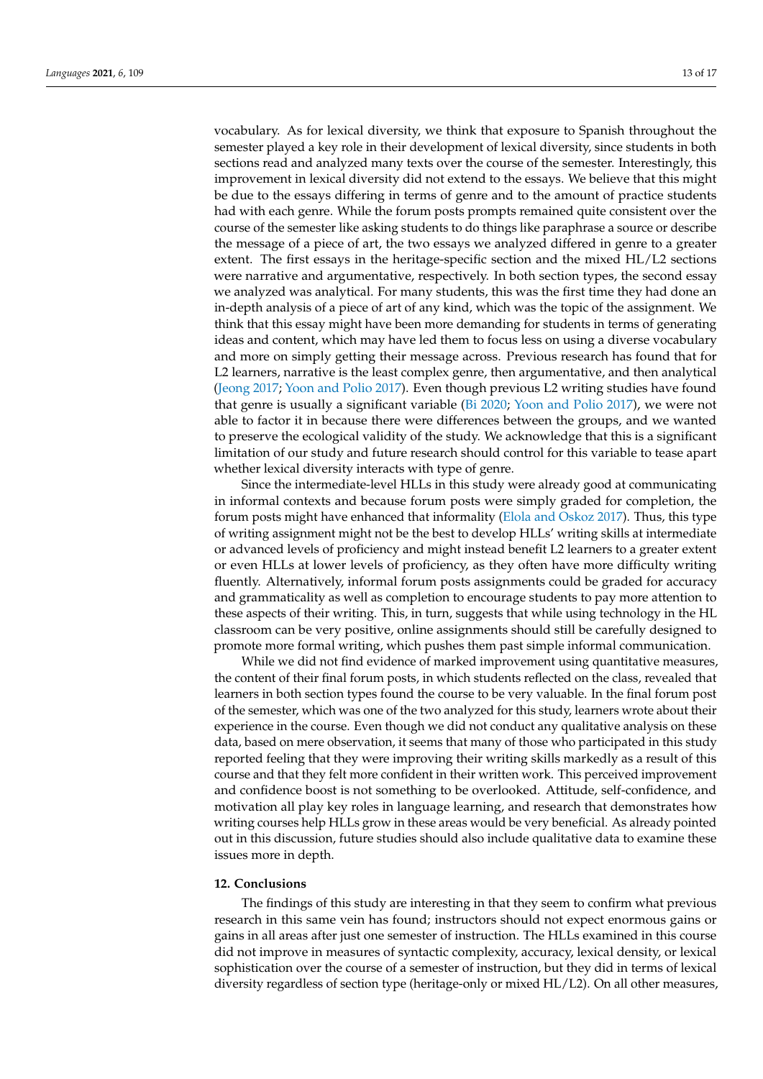vocabulary. As for lexical diversity, we think that exposure to Spanish throughout the semester played a key role in their development of lexical diversity, since students in both sections read and analyzed many texts over the course of the semester. Interestingly, this improvement in lexical diversity did not extend to the essays. We believe that this might be due to the essays differing in terms of genre and to the amount of practice students had with each genre. While the forum posts prompts remained quite consistent over the course of the semester like asking students to do things like paraphrase a source or describe the message of a piece of art, the two essays we analyzed differed in genre to a greater extent. The first essays in the heritage-specific section and the mixed HL/L2 sections were narrative and argumentative, respectively. In both section types, the second essay we analyzed was analytical. For many students, this was the first time they had done an in-depth analysis of a piece of art of any kind, which was the topic of the assignment. We think that this essay might have been more demanding for students in terms of generating ideas and content, which may have led them to focus less on using a diverse vocabulary and more on simply getting their message across. Previous research has found that for L2 learners, narrative is the least complex genre, then argumentative, and then analytical [\(Jeong](#page-15-29) [2017;](#page-15-29) [Yoon and Polio](#page-16-9) [2017\)](#page-16-9). Even though previous L2 writing studies have found that genre is usually a significant variable [\(Bi](#page-14-22) [2020;](#page-14-22) [Yoon and Polio](#page-16-9) [2017\)](#page-16-9), we were not able to factor it in because there were differences between the groups, and we wanted to preserve the ecological validity of the study. We acknowledge that this is a significant limitation of our study and future research should control for this variable to tease apart whether lexical diversity interacts with type of genre.

Since the intermediate-level HLLs in this study were already good at communicating in informal contexts and because forum posts were simply graded for completion, the forum posts might have enhanced that informality [\(Elola and Oskoz](#page-14-19) [2017\)](#page-14-19). Thus, this type of writing assignment might not be the best to develop HLLs' writing skills at intermediate or advanced levels of proficiency and might instead benefit L2 learners to a greater extent or even HLLs at lower levels of proficiency, as they often have more difficulty writing fluently. Alternatively, informal forum posts assignments could be graded for accuracy and grammaticality as well as completion to encourage students to pay more attention to these aspects of their writing. This, in turn, suggests that while using technology in the HL classroom can be very positive, online assignments should still be carefully designed to promote more formal writing, which pushes them past simple informal communication.

While we did not find evidence of marked improvement using quantitative measures, the content of their final forum posts, in which students reflected on the class, revealed that learners in both section types found the course to be very valuable. In the final forum post of the semester, which was one of the two analyzed for this study, learners wrote about their experience in the course. Even though we did not conduct any qualitative analysis on these data, based on mere observation, it seems that many of those who participated in this study reported feeling that they were improving their writing skills markedly as a result of this course and that they felt more confident in their written work. This perceived improvement and confidence boost is not something to be overlooked. Attitude, self-confidence, and motivation all play key roles in language learning, and research that demonstrates how writing courses help HLLs grow in these areas would be very beneficial. As already pointed out in this discussion, future studies should also include qualitative data to examine these issues more in depth.

### **12. Conclusions**

The findings of this study are interesting in that they seem to confirm what previous research in this same vein has found; instructors should not expect enormous gains or gains in all areas after just one semester of instruction. The HLLs examined in this course did not improve in measures of syntactic complexity, accuracy, lexical density, or lexical sophistication over the course of a semester of instruction, but they did in terms of lexical diversity regardless of section type (heritage-only or mixed HL/L2). On all other measures,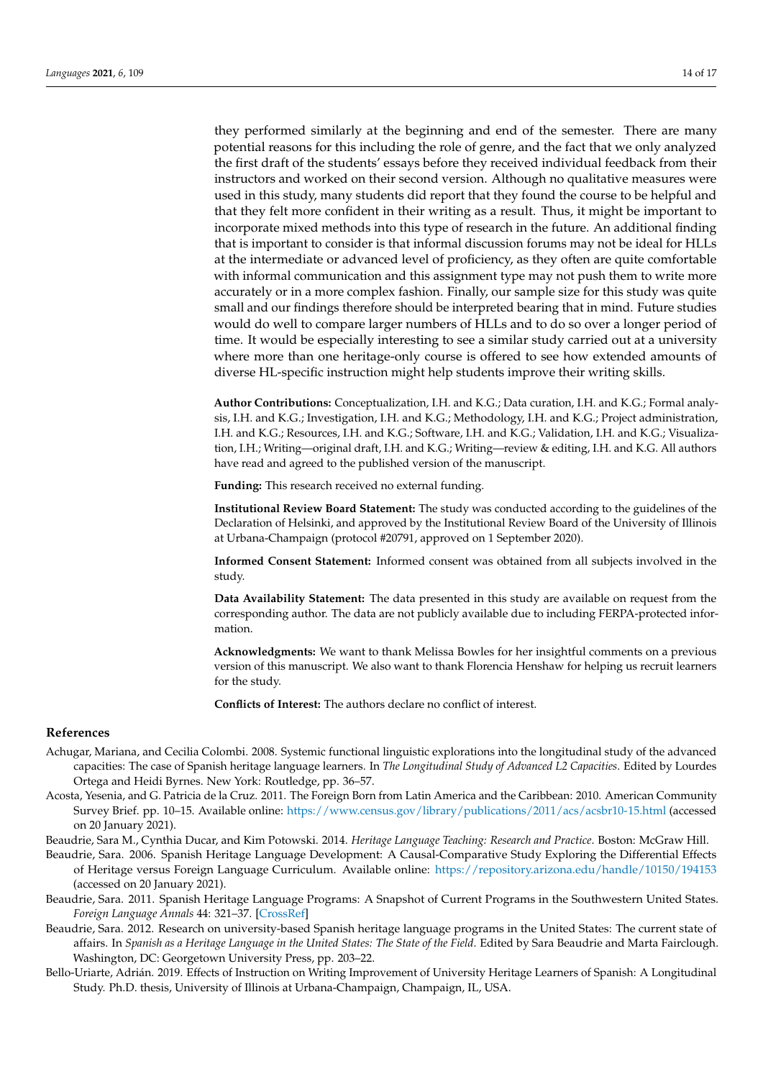they performed similarly at the beginning and end of the semester. There are many potential reasons for this including the role of genre, and the fact that we only analyzed the first draft of the students' essays before they received individual feedback from their instructors and worked on their second version. Although no qualitative measures were used in this study, many students did report that they found the course to be helpful and that they felt more confident in their writing as a result. Thus, it might be important to incorporate mixed methods into this type of research in the future. An additional finding that is important to consider is that informal discussion forums may not be ideal for HLLs at the intermediate or advanced level of proficiency, as they often are quite comfortable with informal communication and this assignment type may not push them to write more accurately or in a more complex fashion. Finally, our sample size for this study was quite small and our findings therefore should be interpreted bearing that in mind. Future studies would do well to compare larger numbers of HLLs and to do so over a longer period of time. It would be especially interesting to see a similar study carried out at a university where more than one heritage-only course is offered to see how extended amounts of diverse HL-specific instruction might help students improve their writing skills.

**Author Contributions:** Conceptualization, I.H. and K.G.; Data curation, I.H. and K.G.; Formal analysis, I.H. and K.G.; Investigation, I.H. and K.G.; Methodology, I.H. and K.G.; Project administration, I.H. and K.G.; Resources, I.H. and K.G.; Software, I.H. and K.G.; Validation, I.H. and K.G.; Visualization, I.H.; Writing—original draft, I.H. and K.G.; Writing—review & editing, I.H. and K.G. All authors have read and agreed to the published version of the manuscript.

**Funding:** This research received no external funding.

**Institutional Review Board Statement:** The study was conducted according to the guidelines of the Declaration of Helsinki, and approved by the Institutional Review Board of the University of Illinois at Urbana-Champaign (protocol #20791, approved on 1 September 2020).

**Informed Consent Statement:** Informed consent was obtained from all subjects involved in the study.

**Data Availability Statement:** The data presented in this study are available on request from the corresponding author. The data are not publicly available due to including FERPA-protected information.

**Acknowledgments:** We want to thank Melissa Bowles for her insightful comments on a previous version of this manuscript. We also want to thank Florencia Henshaw for helping us recruit learners for the study.

**Conflicts of Interest:** The authors declare no conflict of interest.

## **References**

- <span id="page-13-4"></span>Achugar, Mariana, and Cecilia Colombi. 2008. Systemic functional linguistic explorations into the longitudinal study of the advanced capacities: The case of Spanish heritage language learners. In *The Longitudinal Study of Advanced L2 Capacities*. Edited by Lourdes Ortega and Heidi Byrnes. New York: Routledge, pp. 36–57.
- <span id="page-13-2"></span>Acosta, Yesenia, and G. Patricia de la Cruz. 2011. The Foreign Born from Latin America and the Caribbean: 2010. American Community Survey Brief. pp. 10–15. Available online: <https://www.census.gov/library/publications/2011/acs/acsbr10-15.html> (accessed on 20 January 2021).
- <span id="page-13-5"></span><span id="page-13-3"></span>Beaudrie, Sara M., Cynthia Ducar, and Kim Potowski. 2014. *Heritage Language Teaching: Research and Practice*. Boston: McGraw Hill.
- Beaudrie, Sara. 2006. Spanish Heritage Language Development: A Causal-Comparative Study Exploring the Differential Effects of Heritage versus Foreign Language Curriculum. Available online: <https://repository.arizona.edu/handle/10150/194153> (accessed on 20 January 2021).
- <span id="page-13-0"></span>Beaudrie, Sara. 2011. Spanish Heritage Language Programs: A Snapshot of Current Programs in the Southwestern United States. *Foreign Language Annals* 44: 321–37. [\[CrossRef\]](http://doi.org/10.1111/j.1944-9720.2011.01137.x)
- <span id="page-13-1"></span>Beaudrie, Sara. 2012. Research on university-based Spanish heritage language programs in the United States: The current state of affairs. In *Spanish as a Heritage Language in the United States: The State of the Field*. Edited by Sara Beaudrie and Marta Fairclough. Washington, DC: Georgetown University Press, pp. 203–22.
- <span id="page-13-6"></span>Bello-Uriarte, Adrián. 2019. Effects of Instruction on Writing Improvement of University Heritage Learners of Spanish: A Longitudinal Study. Ph.D. thesis, University of Illinois at Urbana-Champaign, Champaign, IL, USA.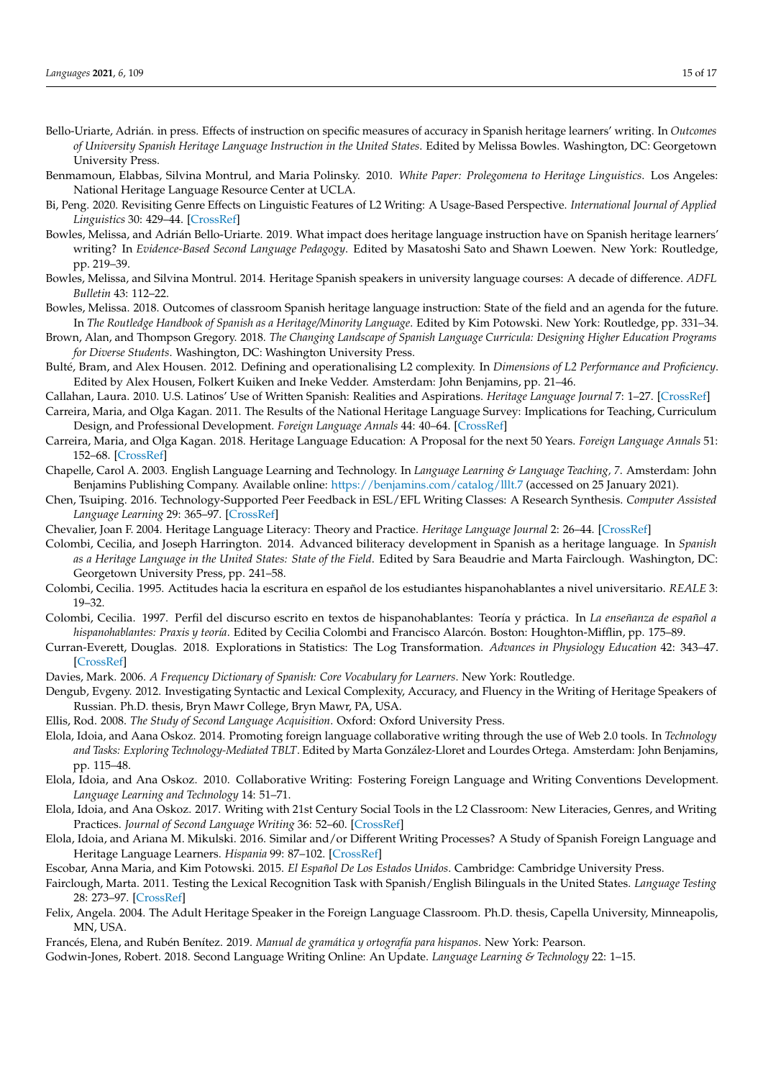- <span id="page-14-15"></span>Bello-Uriarte, Adrián. in press. Effects of instruction on specific measures of accuracy in Spanish heritage learners' writing. In *Outcomes of University Spanish Heritage Language Instruction in the United States*. Edited by Melissa Bowles. Washington, DC: Georgetown University Press.
- <span id="page-14-16"></span>Benmamoun, Elabbas, Silvina Montrul, and Maria Polinsky. 2010. *White Paper: Prolegomena to Heritage Linguistics*. Los Angeles: National Heritage Language Resource Center at UCLA.
- <span id="page-14-22"></span>Bi, Peng. 2020. Revisiting Genre Effects on Linguistic Features of L2 Writing: A Usage-Based Perspective. *International Journal of Applied Linguistics* 30: 429–44. [\[CrossRef\]](http://doi.org/10.1111/ijal.12297)
- <span id="page-14-14"></span>Bowles, Melissa, and Adrián Bello-Uriarte. 2019. What impact does heritage language instruction have on Spanish heritage learners' writing? In *Evidence-Based Second Language Pedagogy*. Edited by Masatoshi Sato and Shawn Loewen. New York: Routledge, pp. 219–39.
- <span id="page-14-3"></span>Bowles, Melissa, and Silvina Montrul. 2014. Heritage Spanish speakers in university language courses: A decade of difference. *ADFL Bulletin* 43: 112–22.
- <span id="page-14-13"></span>Bowles, Melissa. 2018. Outcomes of classroom Spanish heritage language instruction: State of the field and an agenda for the future. In *The Routledge Handbook of Spanish as a Heritage/Minority Language*. Edited by Kim Potowski. New York: Routledge, pp. 331–34.
- <span id="page-14-2"></span>Brown, Alan, and Thompson Gregory. 2018. *The Changing Landscape of Spanish Language Curricula: Designing Higher Education Programs for Diverse Students*. Washington, DC: Washington University Press.
- <span id="page-14-26"></span>Bulté, Bram, and Alex Housen. 2012. Defining and operationalising L2 complexity. In *Dimensions of L2 Performance and Proficiency*. Edited by Alex Housen, Folkert Kuiken and Ineke Vedder. Amsterdam: John Benjamins, pp. 21–46.
- <span id="page-14-7"></span>Callahan, Laura. 2010. U.S. Latinos' Use of Written Spanish: Realities and Aspirations. *Heritage Language Journal* 7: 1–27. [\[CrossRef\]](http://doi.org/10.46538/hlj.7.1.1)
- <span id="page-14-0"></span>Carreira, Maria, and Olga Kagan. 2011. The Results of the National Heritage Language Survey: Implications for Teaching, Curriculum Design, and Professional Development. *Foreign Language Annals* 44: 40–64. [\[CrossRef\]](http://doi.org/10.1111/j.1944-9720.2010.01118.x)
- <span id="page-14-1"></span>Carreira, Maria, and Olga Kagan. 2018. Heritage Language Education: A Proposal for the next 50 Years. *Foreign Language Annals* 51: 152–68. [\[CrossRef\]](http://doi.org/10.1111/flan.12331)
- <span id="page-14-21"></span>Chapelle, Carol A. 2003. English Language Learning and Technology. In *Language Learning & Language Teaching, 7*. Amsterdam: John Benjamins Publishing Company. Available online: <https://benjamins.com/catalog/lllt.7> (accessed on 25 January 2021).
- <span id="page-14-20"></span>Chen, Tsuiping. 2016. Technology-Supported Peer Feedback in ESL/EFL Writing Classes: A Research Synthesis. *Computer Assisted Language Learning* 29: 365–97. [\[CrossRef\]](http://doi.org/10.1080/09588221.2014.960942)
- <span id="page-14-12"></span>Chevalier, Joan F. 2004. Heritage Language Literacy: Theory and Practice. *Heritage Language Journal* 2: 26–44. [\[CrossRef\]](http://doi.org/10.46538/hlj.2.1.2)
- <span id="page-14-11"></span>Colombi, Cecilia, and Joseph Harrington. 2014. Advanced biliteracy development in Spanish as a heritage language. In *Spanish as a Heritage Language in the United States: State of the Field*. Edited by Sara Beaudrie and Marta Fairclough. Washington, DC: Georgetown University Press, pp. 241–58.
- <span id="page-14-10"></span>Colombi, Cecilia. 1995. Actitudes hacia la escritura en español de los estudiantes hispanohablantes a nivel universitario. *REALE* 3: 19–32.
- <span id="page-14-8"></span>Colombi, Cecilia. 1997. Perfil del discurso escrito en textos de hispanohablantes: Teoría y práctica. In *La enseñanza de español a hispanohablantes: Praxis y teoría*. Edited by Cecilia Colombi and Francisco Alarcón. Boston: Houghton-Mifflin, pp. 175–89.
- <span id="page-14-29"></span>Curran-Everett, Douglas. 2018. Explorations in Statistics: The Log Transformation. *Advances in Physiology Education* 42: 343–47. [\[CrossRef\]](http://doi.org/10.1152/advan.00018.2018)
- <span id="page-14-28"></span>Davies, Mark. 2006. *A Frequency Dictionary of Spanish: Core Vocabulary for Learners*. New York: Routledge.
- <span id="page-14-9"></span>Dengub, Evgeny. 2012. Investigating Syntactic and Lexical Complexity, Accuracy, and Fluency in the Writing of Heritage Speakers of Russian. Ph.D. thesis, Bryn Mawr College, Bryn Mawr, PA, USA.
- <span id="page-14-27"></span>Ellis, Rod. 2008. *The Study of Second Language Acquisition*. Oxford: Oxford University Press.
- <span id="page-14-24"></span>Elola, Idoia, and Aana Oskoz. 2014. Promoting foreign language collaborative writing through the use of Web 2.0 tools. In *Technology and Tasks: Exploring Technology-Mediated TBLT*. Edited by Marta González-Lloret and Lourdes Ortega. Amsterdam: John Benjamins, pp. 115–48.
- <span id="page-14-23"></span>Elola, Idoia, and Ana Oskoz. 2010. Collaborative Writing: Fostering Foreign Language and Writing Conventions Development. *Language Learning and Technology* 14: 51–71.
- <span id="page-14-19"></span>Elola, Idoia, and Ana Oskoz. 2017. Writing with 21st Century Social Tools in the L2 Classroom: New Literacies, Genres, and Writing Practices. *Journal of Second Language Writing* 36: 52–60. [\[CrossRef\]](http://doi.org/10.1016/j.jslw.2017.04.002)
- <span id="page-14-25"></span>Elola, Idoia, and Ariana M. Mikulski. 2016. Similar and/or Different Writing Processes? A Study of Spanish Foreign Language and Heritage Language Learners. *Hispania* 99: 87–102. [\[CrossRef\]](http://doi.org/10.1353/hpn.2016.0000)
- <span id="page-14-6"></span>Escobar, Anna Maria, and Kim Potowski. 2015. *El Español De Los Estados Unidos*. Cambridge: Cambridge University Press.
- <span id="page-14-4"></span>Fairclough, Marta. 2011. Testing the Lexical Recognition Task with Spanish/English Bilinguals in the United States. *Language Testing* 28: 273–97. [\[CrossRef\]](http://doi.org/10.1177/0265532210393151)
- <span id="page-14-5"></span>Felix, Angela. 2004. The Adult Heritage Speaker in the Foreign Language Classroom. Ph.D. thesis, Capella University, Minneapolis, MN, USA.
- <span id="page-14-17"></span>Francés, Elena, and Rubén Benítez. 2019. *Manual de gramática y ortografía para hispanos*. New York: Pearson.
- <span id="page-14-18"></span>Godwin-Jones, Robert. 2018. Second Language Writing Online: An Update. *Language Learning & Technology* 22: 1–15.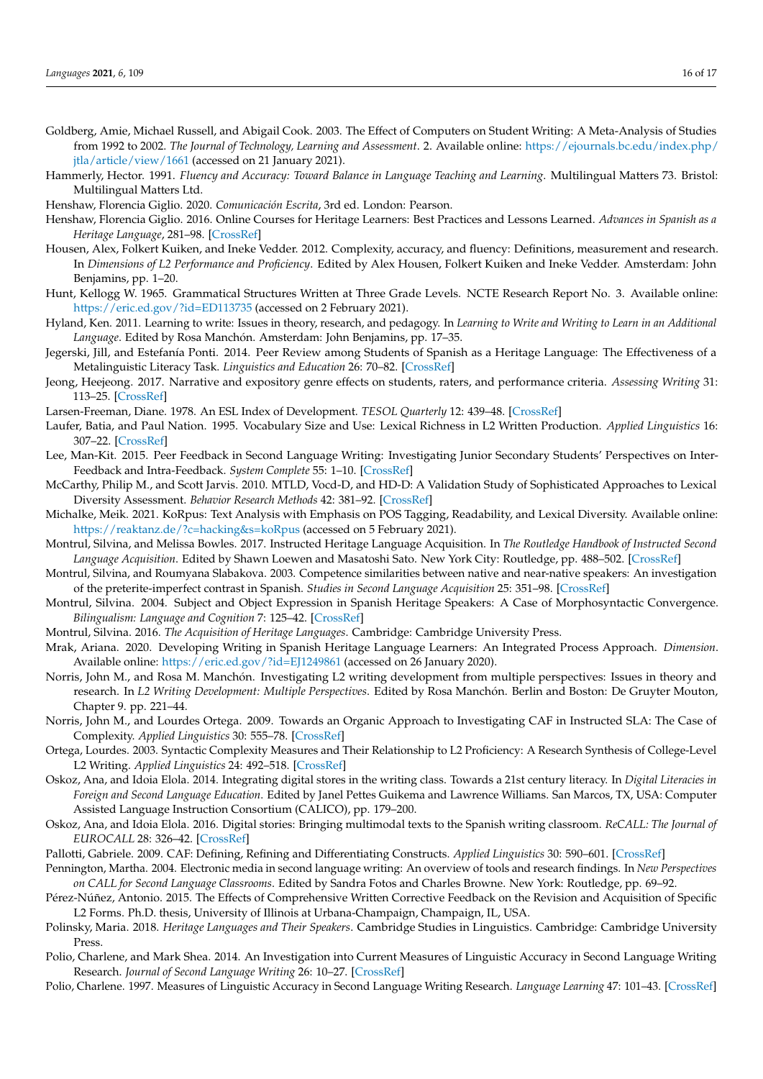<span id="page-15-20"></span><span id="page-15-10"></span>Hammerly, Hector. 1991. *Fluency and Accuracy: Toward Balance in Language Teaching and Learning*. Multilingual Matters 73. Bristol: Multilingual Matters Ltd.

<span id="page-15-12"></span>Henshaw, Florencia Giglio. 2020. *Comunicación Escrita*, 3rd ed. London: Pearson.

- <span id="page-15-6"></span>Henshaw, Florencia Giglio. 2016. Online Courses for Heritage Learners: Best Practices and Lessons Learned. *Advances in Spanish as a Heritage Language*, 281–98. [\[CrossRef\]](http://doi.org/10.1075/sibil)
- <span id="page-15-15"></span>Housen, Alex, Folkert Kuiken, and Ineke Vedder. 2012. Complexity, accuracy, and fluency: Definitions, measurement and research. In *Dimensions of L2 Performance and Proficiency*. Edited by Alex Housen, Folkert Kuiken and Ineke Vedder. Amsterdam: John Benjamins, pp. 1–20.
- <span id="page-15-18"></span>Hunt, Kellogg W. 1965. Grammatical Structures Written at Three Grade Levels. NCTE Research Report No. 3. Available online: <https://eric.ed.gov/?id=ED113735> (accessed on 2 February 2021).
- <span id="page-15-13"></span>Hyland, Ken. 2011. Learning to write: Issues in theory, research, and pedagogy. In *Learning to Write and Writing to Learn in an Additional Language*. Edited by Rosa Manchón. Amsterdam: John Benjamins, pp. 17–35.
- <span id="page-15-3"></span>Jegerski, Jill, and Estefanía Ponti. 2014. Peer Review among Students of Spanish as a Heritage Language: The Effectiveness of a Metalinguistic Literacy Task. *Linguistics and Education* 26: 70–82. [\[CrossRef\]](http://doi.org/10.1016/j.linged.2014.03.002)
- <span id="page-15-29"></span>Jeong, Heejeong. 2017. Narrative and expository genre effects on students, raters, and performance criteria. *Assessing Writing* 31: 113–25. [\[CrossRef\]](http://doi.org/10.1016/j.asw.2016.08.006)
- <span id="page-15-14"></span>Larsen-Freeman, Diane. 1978. An ESL Index of Development. *TESOL Quarterly* 12: 439–48. [\[CrossRef\]](http://doi.org/10.2307/3586142)
- <span id="page-15-25"></span>Laufer, Batia, and Paul Nation. 1995. Vocabulary Size and Use: Lexical Richness in L2 Written Production. *Applied Linguistics* 16: 307–22. [\[CrossRef\]](http://doi.org/10.1093/applin/16.3.307)
- <span id="page-15-7"></span>Lee, Man-Kit. 2015. Peer Feedback in Second Language Writing: Investigating Junior Secondary Students' Perspectives on Inter-Feedback and Intra-Feedback. *System Complete* 55: 1–10. [\[CrossRef\]](http://doi.org/10.1016/j.system.2015.08.003)
- <span id="page-15-23"></span>McCarthy, Philip M., and Scott Jarvis. 2010. MTLD, Vocd-D, and HD-D: A Validation Study of Sophisticated Approaches to Lexical Diversity Assessment. *Behavior Research Methods* 42: 381–92. [\[CrossRef\]](http://doi.org/10.3758/BRM.42.2.381)
- <span id="page-15-24"></span>Michalke, Meik. 2021. KoRpus: Text Analysis with Emphasis on POS Tagging, Readability, and Lexical Diversity. Available online: <https://reaktanz.de/?c=hacking&s=koRpus> (accessed on 5 February 2021).
- <span id="page-15-1"></span>Montrul, Silvina, and Melissa Bowles. 2017. Instructed Heritage Language Acquisition. In *The Routledge Handbook of Instructed Second Language Acquisition*. Edited by Shawn Loewen and Masatoshi Sato. New York City: Routledge, pp. 488–502. [\[CrossRef\]](http://doi.org/10.4324/9781315676968)
- <span id="page-15-26"></span>Montrul, Silvina, and Roumyana Slabakova. 2003. Competence similarities between native and near-native speakers: An investigation of the preterite-imperfect contrast in Spanish. *Studies in Second Language Acquisition* 25: 351–98. [\[CrossRef\]](http://doi.org/10.1017/S0272263103000159)
- <span id="page-15-27"></span>Montrul, Silvina. 2004. Subject and Object Expression in Spanish Heritage Speakers: A Case of Morphosyntactic Convergence. *Bilingualism: Language and Cognition* 7: 125–42. [\[CrossRef\]](http://doi.org/10.1017/S1366728904001464)
- <span id="page-15-0"></span>Montrul, Silvina. 2016. *The Acquisition of Heritage Languages*. Cambridge: Cambridge University Press.
- <span id="page-15-2"></span>Mrak, Ariana. 2020. Developing Writing in Spanish Heritage Language Learners: An Integrated Process Approach. *Dimension*. Available online: <https://eric.ed.gov/?id=EJ1249861> (accessed on 26 January 2020).
- <span id="page-15-28"></span>Norris, John M., and Rosa M. Manchón. Investigating L2 writing development from multiple perspectives: Issues in theory and research. In *L2 Writing Development: Multiple Perspectives*. Edited by Rosa Manchón. Berlin and Boston: De Gruyter Mouton, Chapter 9. pp. 221–44.
- <span id="page-15-17"></span>Norris, John M., and Lourdes Ortega. 2009. Towards an Organic Approach to Investigating CAF in Instructed SLA: The Case of Complexity. *Applied Linguistics* 30: 555–78. [\[CrossRef\]](http://doi.org/10.1093/applin/amp044)
- <span id="page-15-16"></span>Ortega, Lourdes. 2003. Syntactic Complexity Measures and Their Relationship to L2 Proficiency: A Research Synthesis of College-Level L2 Writing. *Applied Linguistics* 24: 492–518. [\[CrossRef\]](http://doi.org/10.1093/applin/24.4.492)
- <span id="page-15-8"></span>Oskoz, Ana, and Idoia Elola. 2014. Integrating digital stores in the writing class. Towards a 21st century literacy. In *Digital Literacies in Foreign and Second Language Education*. Edited by Janel Pettes Guikema and Lawrence Williams. San Marcos, TX, USA: Computer Assisted Language Instruction Consortium (CALICO), pp. 179–200.
- <span id="page-15-9"></span>Oskoz, Ana, and Idoia Elola. 2016. Digital stories: Bringing multimodal texts to the Spanish writing classroom. *ReCALL: The Journal of EUROCALL* 28: 326–42. [\[CrossRef\]](http://doi.org/10.1017/S0958344016000094)
- <span id="page-15-19"></span><span id="page-15-11"></span>Pallotti, Gabriele. 2009. CAF: Defining, Refining and Differentiating Constructs. *Applied Linguistics* 30: 590–601. [\[CrossRef\]](http://doi.org/10.1093/applin/amp045)
- Pennington, Martha. 2004. Electronic media in second language writing: An overview of tools and research findings. In *New Perspectives on CALL for Second Language Classrooms*. Edited by Sandra Fotos and Charles Browne. New York: Routledge, pp. 69–92.
- <span id="page-15-4"></span>Pérez-Núñez, Antonio. 2015. The Effects of Comprehensive Written Corrective Feedback on the Revision and Acquisition of Specific L2 Forms. Ph.D. thesis, University of Illinois at Urbana-Champaign, Champaign, IL, USA.
- <span id="page-15-21"></span>Polinsky, Maria. 2018. *Heritage Languages and Their Speakers*. Cambridge Studies in Linguistics. Cambridge: Cambridge University Press.
- <span id="page-15-5"></span>Polio, Charlene, and Mark Shea. 2014. An Investigation into Current Measures of Linguistic Accuracy in Second Language Writing Research. *Journal of Second Language Writing* 26: 10–27. [\[CrossRef\]](http://doi.org/10.1016/j.jslw.2014.09.003)
- <span id="page-15-22"></span>Polio, Charlene. 1997. Measures of Linguistic Accuracy in Second Language Writing Research. *Language Learning* 47: 101–43. [\[CrossRef\]](http://doi.org/10.1111/0023-8333.31997003)